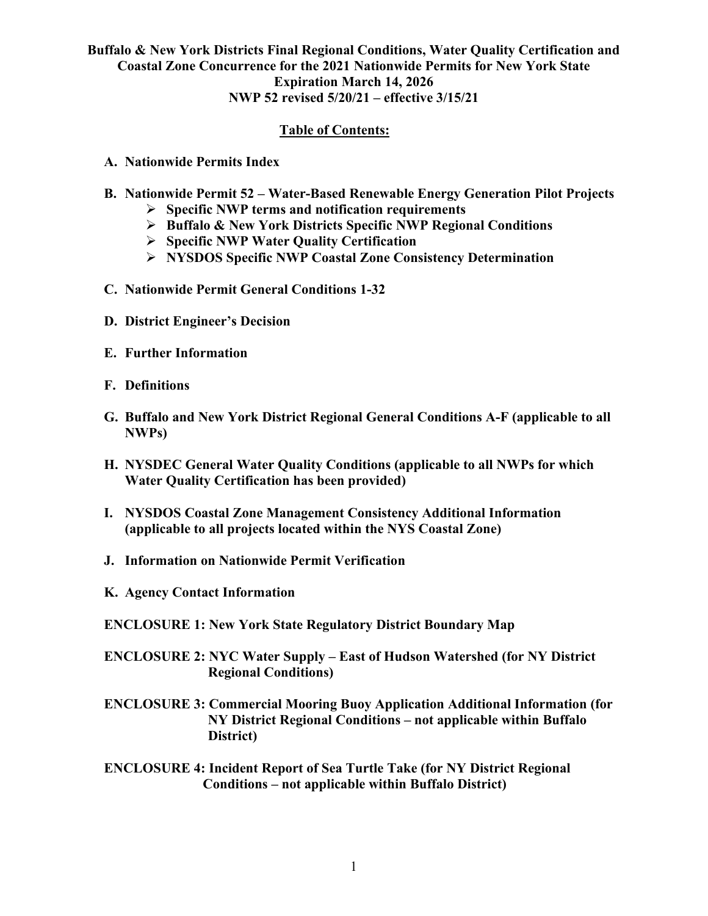### **Table of Contents:**

- **A. Nationwide Permits Index**
- **B. Nationwide Permit 52 – Water-Based Renewable Energy Generation Pilot Projects**
	- **Specific NWP terms and notification requirements**
	- **Buffalo & New York Districts Specific NWP Regional Conditions**
	- **Specific NWP Water Quality Certification**
	- **NYSDOS Specific NWP Coastal Zone Consistency Determination**
- **C. Nationwide Permit General Conditions 1-32**
- **D. District Engineer's Decision**
- **E. Further Information**
- **F. Definitions**
- **G. Buffalo and New York District Regional General Conditions A-F (applicable to all NWPs)**
- **H. NYSDEC General Water Quality Conditions (applicable to all NWPs for which Water Quality Certification has been provided)**
- **I. NYSDOS Coastal Zone Management Consistency Additional Information (applicable to all projects located within the NYS Coastal Zone)**
- **J. Information on Nationwide Permit Verification**
- **K. Agency Contact Information**
- **ENCLOSURE 1: New York State Regulatory District Boundary Map**
- **ENCLOSURE 2: NYC Water Supply – East of Hudson Watershed (for NY District Regional Conditions)**
- **ENCLOSURE 3: Commercial Mooring Buoy Application Additional Information (for NY District Regional Conditions – not applicable within Buffalo District)**
- **ENCLOSURE 4: Incident Report of Sea Turtle Take (for NY District Regional Conditions – not applicable within Buffalo District)**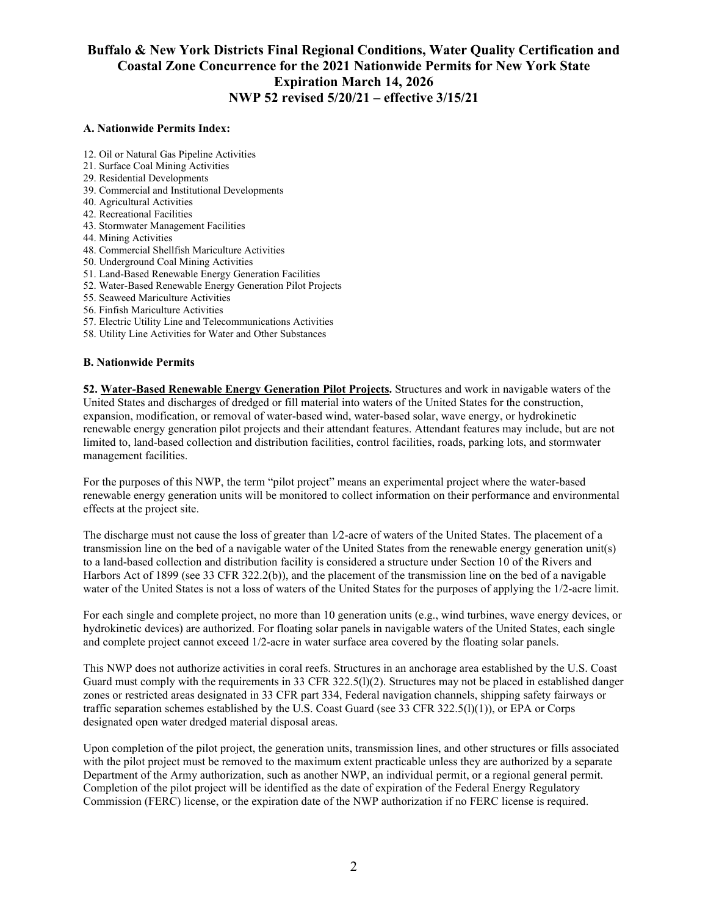#### **A. Nationwide Permits Index:**

- 12. Oil or Natural Gas Pipeline Activities
- 21. Surface Coal Mining Activities
- 29. Residential Developments
- 39. Commercial and Institutional Developments
- 40. Agricultural Activities
- 42. Recreational Facilities
- 43. Stormwater Management Facilities
- 44. Mining Activities
- 48. Commercial Shellfish Mariculture Activities
- 50. Underground Coal Mining Activities
- 51. Land-Based Renewable Energy Generation Facilities
- 52. Water-Based Renewable Energy Generation Pilot Projects
- 55. Seaweed Mariculture Activities
- 56. Finfish Mariculture Activities
- 57. Electric Utility Line and Telecommunications Activities
- 58. Utility Line Activities for Water and Other Substances

#### **B. Nationwide Permits**

**52. Water-Based Renewable Energy Generation Pilot Projects.** Structures and work in navigable waters of the United States and discharges of dredged or fill material into waters of the United States for the construction, expansion, modification, or removal of water-based wind, water-based solar, wave energy, or hydrokinetic renewable energy generation pilot projects and their attendant features. Attendant features may include, but are not limited to, land-based collection and distribution facilities, control facilities, roads, parking lots, and stormwater management facilities.

For the purposes of this NWP, the term "pilot project" means an experimental project where the water-based renewable energy generation units will be monitored to collect information on their performance and environmental effects at the project site.

The discharge must not cause the loss of greater than  $1/2$ -acre of waters of the United States. The placement of a transmission line on the bed of a navigable water of the United States from the renewable energy generation unit(s) to a land-based collection and distribution facility is considered a structure under Section 10 of the Rivers and Harbors Act of 1899 (see 33 CFR 322.2(b)), and the placement of the transmission line on the bed of a navigable water of the United States is not a loss of waters of the United States for the purposes of applying the 1/2-acre limit.

For each single and complete project, no more than 10 generation units (e.g., wind turbines, wave energy devices, or hydrokinetic devices) are authorized. For floating solar panels in navigable waters of the United States, each single and complete project cannot exceed 1/2-acre in water surface area covered by the floating solar panels.

This NWP does not authorize activities in coral reefs. Structures in an anchorage area established by the U.S. Coast Guard must comply with the requirements in 33 CFR 322.5(l)(2). Structures may not be placed in established danger zones or restricted areas designated in 33 CFR part 334, Federal navigation channels, shipping safety fairways or traffic separation schemes established by the U.S. Coast Guard (see 33 CFR 322.5(l)(1)), or EPA or Corps designated open water dredged material disposal areas.

Upon completion of the pilot project, the generation units, transmission lines, and other structures or fills associated with the pilot project must be removed to the maximum extent practicable unless they are authorized by a separate Department of the Army authorization, such as another NWP, an individual permit, or a regional general permit. Completion of the pilot project will be identified as the date of expiration of the Federal Energy Regulatory Commission (FERC) license, or the expiration date of the NWP authorization if no FERC license is required.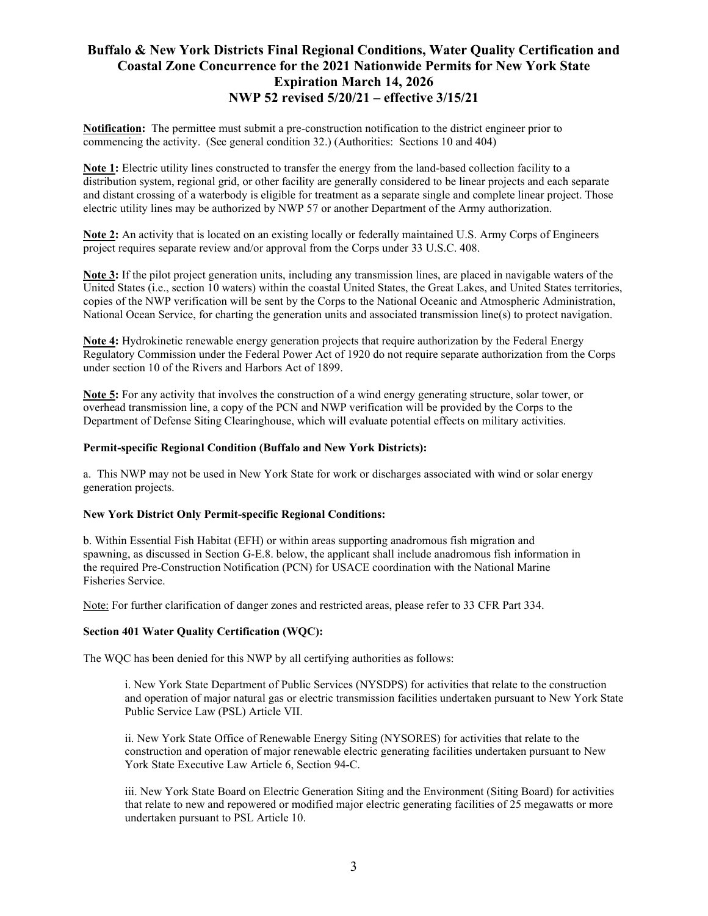**Notification:** The permittee must submit a pre-construction notification to the district engineer prior to commencing the activity. (See general condition 32.) (Authorities: Sections 10 and 404)

**Note 1:** Electric utility lines constructed to transfer the energy from the land-based collection facility to a distribution system, regional grid, or other facility are generally considered to be linear projects and each separate and distant crossing of a waterbody is eligible for treatment as a separate single and complete linear project. Those electric utility lines may be authorized by NWP 57 or another Department of the Army authorization.

**Note 2:** An activity that is located on an existing locally or federally maintained U.S. Army Corps of Engineers project requires separate review and/or approval from the Corps under 33 U.S.C. 408.

**Note 3:** If the pilot project generation units, including any transmission lines, are placed in navigable waters of the United States (i.e., section 10 waters) within the coastal United States, the Great Lakes, and United States territories, copies of the NWP verification will be sent by the Corps to the National Oceanic and Atmospheric Administration, National Ocean Service, for charting the generation units and associated transmission line(s) to protect navigation.

**Note 4:** Hydrokinetic renewable energy generation projects that require authorization by the Federal Energy Regulatory Commission under the Federal Power Act of 1920 do not require separate authorization from the Corps under section 10 of the Rivers and Harbors Act of 1899.

**Note 5:** For any activity that involves the construction of a wind energy generating structure, solar tower, or overhead transmission line, a copy of the PCN and NWP verification will be provided by the Corps to the Department of Defense Siting Clearinghouse, which will evaluate potential effects on military activities.

#### **Permit-specific Regional Condition (Buffalo and New York Districts):**

a. This NWP may not be used in New York State for work or discharges associated with wind or solar energy generation projects.

#### **New York District Only Permit-specific Regional Conditions:**

b. Within Essential Fish Habitat (EFH) or within areas supporting anadromous fish migration and spawning, as discussed in Section G-E.8. below, the applicant shall include anadromous fish information in the required Pre-Construction Notification (PCN) for USACE coordination with the National Marine Fisheries Service.

Note: For further clarification of danger zones and restricted areas, please refer to 33 CFR Part 334.

#### **Section 401 Water Quality Certification (WQC):**

The WQC has been denied for this NWP by all certifying authorities as follows:

i. New York State Department of Public Services (NYSDPS) for activities that relate to the construction and operation of major natural gas or electric transmission facilities undertaken pursuant to New York State Public Service Law (PSL) Article VII.

ii. New York State Office of Renewable Energy Siting (NYSORES) for activities that relate to the construction and operation of major renewable electric generating facilities undertaken pursuant to New York State Executive Law Article 6, Section 94-C.

iii. New York State Board on Electric Generation Siting and the Environment (Siting Board) for activities that relate to new and repowered or modified major electric generating facilities of 25 megawatts or more undertaken pursuant to PSL Article 10.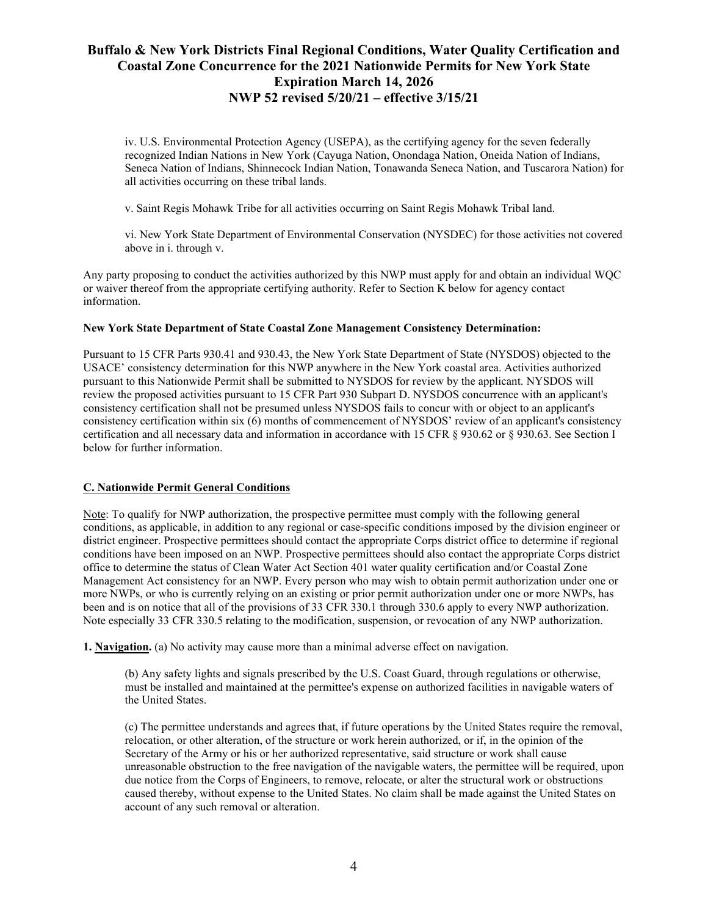iv. U.S. Environmental Protection Agency (USEPA), as the certifying agency for the seven federally recognized Indian Nations in New York (Cayuga Nation, Onondaga Nation, Oneida Nation of Indians, Seneca Nation of Indians, Shinnecock Indian Nation, Tonawanda Seneca Nation, and Tuscarora Nation) for all activities occurring on these tribal lands.

v. Saint Regis Mohawk Tribe for all activities occurring on Saint Regis Mohawk Tribal land.

vi. New York State Department of Environmental Conservation (NYSDEC) for those activities not covered above in i. through v.

Any party proposing to conduct the activities authorized by this NWP must apply for and obtain an individual WQC or waiver thereof from the appropriate certifying authority. Refer to Section K below for agency contact information.

### **New York State Department of State Coastal Zone Management Consistency Determination:**

Pursuant to 15 CFR Parts 930.41 and 930.43, the New York State Department of State (NYSDOS) objected to the USACE' consistency determination for this NWP anywhere in the New York coastal area. Activities authorized pursuant to this Nationwide Permit shall be submitted to NYSDOS for review by the applicant. NYSDOS will review the proposed activities pursuant to 15 CFR Part 930 Subpart D. NYSDOS concurrence with an applicant's consistency certification shall not be presumed unless NYSDOS fails to concur with or object to an applicant's consistency certification within six (6) months of commencement of NYSDOS' review of an applicant's consistency certification and all necessary data and information in accordance with 15 CFR § 930.62 or § 930.63. See Section I below for further information.

### **C. Nationwide Permit General Conditions**

Note: To qualify for NWP authorization, the prospective permittee must comply with the following general conditions, as applicable, in addition to any regional or case-specific conditions imposed by the division engineer or district engineer. Prospective permittees should contact the appropriate Corps district office to determine if regional conditions have been imposed on an NWP. Prospective permittees should also contact the appropriate Corps district office to determine the status of Clean Water Act Section 401 water quality certification and/or Coastal Zone Management Act consistency for an NWP. Every person who may wish to obtain permit authorization under one or more NWPs, or who is currently relying on an existing or prior permit authorization under one or more NWPs, has been and is on notice that all of the provisions of 33 CFR 330.1 through 330.6 apply to every NWP authorization. Note especially 33 CFR 330.5 relating to the modification, suspension, or revocation of any NWP authorization.

**1. Navigation.** (a) No activity may cause more than a minimal adverse effect on navigation.

(b) Any safety lights and signals prescribed by the U.S. Coast Guard, through regulations or otherwise, must be installed and maintained at the permittee's expense on authorized facilities in navigable waters of the United States.

(c) The permittee understands and agrees that, if future operations by the United States require the removal, relocation, or other alteration, of the structure or work herein authorized, or if, in the opinion of the Secretary of the Army or his or her authorized representative, said structure or work shall cause unreasonable obstruction to the free navigation of the navigable waters, the permittee will be required, upon due notice from the Corps of Engineers, to remove, relocate, or alter the structural work or obstructions caused thereby, without expense to the United States. No claim shall be made against the United States on account of any such removal or alteration.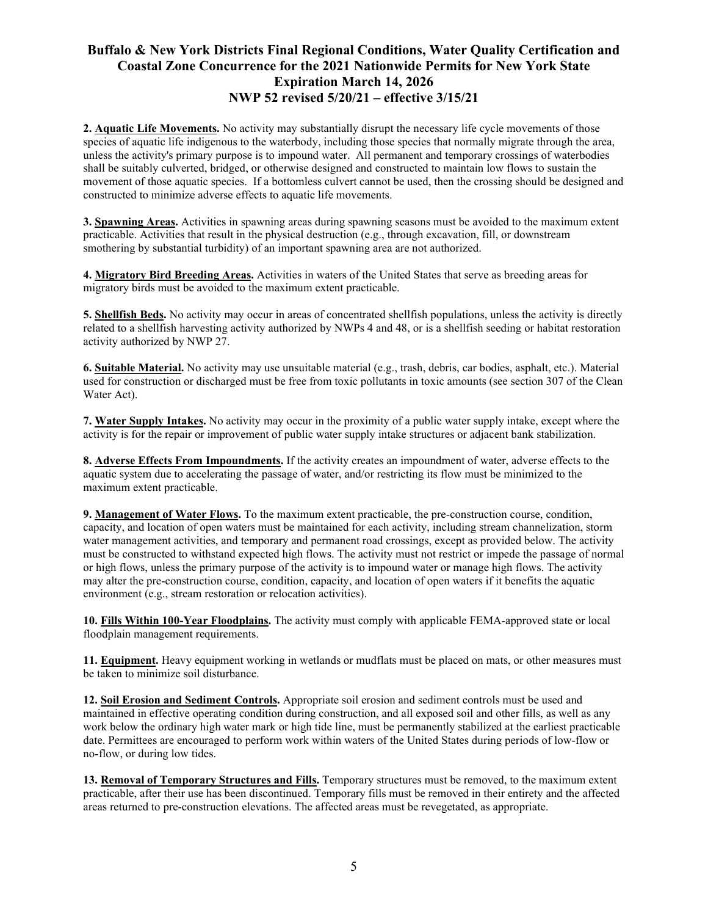**2. Aquatic Life Movements.** No activity may substantially disrupt the necessary life cycle movements of those species of aquatic life indigenous to the waterbody, including those species that normally migrate through the area, unless the activity's primary purpose is to impound water. All permanent and temporary crossings of waterbodies shall be suitably culverted, bridged, or otherwise designed and constructed to maintain low flows to sustain the movement of those aquatic species. If a bottomless culvert cannot be used, then the crossing should be designed and constructed to minimize adverse effects to aquatic life movements.

**3. Spawning Areas.** Activities in spawning areas during spawning seasons must be avoided to the maximum extent practicable. Activities that result in the physical destruction (e.g., through excavation, fill, or downstream smothering by substantial turbidity) of an important spawning area are not authorized.

**4. Migratory Bird Breeding Areas.** Activities in waters of the United States that serve as breeding areas for migratory birds must be avoided to the maximum extent practicable.

**5. Shellfish Beds.** No activity may occur in areas of concentrated shellfish populations, unless the activity is directly related to a shellfish harvesting activity authorized by NWPs 4 and 48, or is a shellfish seeding or habitat restoration activity authorized by NWP 27.

**6. Suitable Material.** No activity may use unsuitable material (e.g., trash, debris, car bodies, asphalt, etc.). Material used for construction or discharged must be free from toxic pollutants in toxic amounts (see section 307 of the Clean Water Act).

**7. Water Supply Intakes.** No activity may occur in the proximity of a public water supply intake, except where the activity is for the repair or improvement of public water supply intake structures or adjacent bank stabilization.

**8. Adverse Effects From Impoundments.** If the activity creates an impoundment of water, adverse effects to the aquatic system due to accelerating the passage of water, and/or restricting its flow must be minimized to the maximum extent practicable.

**9. Management of Water Flows.** To the maximum extent practicable, the pre-construction course, condition, capacity, and location of open waters must be maintained for each activity, including stream channelization, storm water management activities, and temporary and permanent road crossings, except as provided below. The activity must be constructed to withstand expected high flows. The activity must not restrict or impede the passage of normal or high flows, unless the primary purpose of the activity is to impound water or manage high flows. The activity may alter the pre-construction course, condition, capacity, and location of open waters if it benefits the aquatic environment (e.g., stream restoration or relocation activities).

**10. Fills Within 100-Year Floodplains.** The activity must comply with applicable FEMA-approved state or local floodplain management requirements.

**11. Equipment.** Heavy equipment working in wetlands or mudflats must be placed on mats, or other measures must be taken to minimize soil disturbance.

**12. Soil Erosion and Sediment Controls.** Appropriate soil erosion and sediment controls must be used and maintained in effective operating condition during construction, and all exposed soil and other fills, as well as any work below the ordinary high water mark or high tide line, must be permanently stabilized at the earliest practicable date. Permittees are encouraged to perform work within waters of the United States during periods of low-flow or no-flow, or during low tides.

**13. Removal of Temporary Structures and Fills.** Temporary structures must be removed, to the maximum extent practicable, after their use has been discontinued. Temporary fills must be removed in their entirety and the affected areas returned to pre-construction elevations. The affected areas must be revegetated, as appropriate.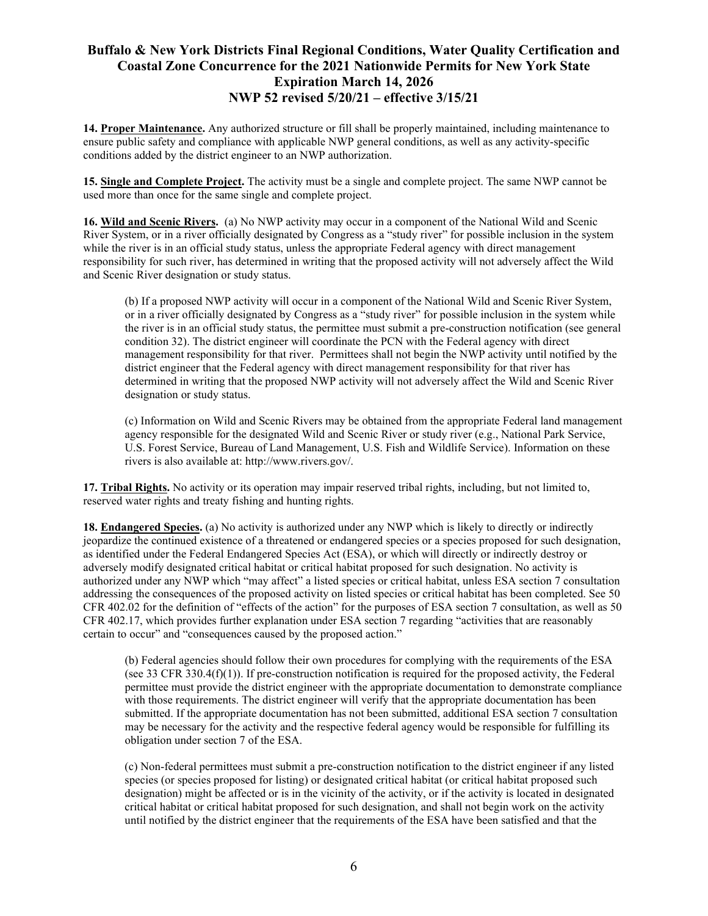**14. Proper Maintenance.** Any authorized structure or fill shall be properly maintained, including maintenance to ensure public safety and compliance with applicable NWP general conditions, as well as any activity-specific conditions added by the district engineer to an NWP authorization.

**15. Single and Complete Project.** The activity must be a single and complete project. The same NWP cannot be used more than once for the same single and complete project.

**16. Wild and Scenic Rivers.** (a) No NWP activity may occur in a component of the National Wild and Scenic River System, or in a river officially designated by Congress as a "study river" for possible inclusion in the system while the river is in an official study status, unless the appropriate Federal agency with direct management responsibility for such river, has determined in writing that the proposed activity will not adversely affect the Wild and Scenic River designation or study status.

(b) If a proposed NWP activity will occur in a component of the National Wild and Scenic River System, or in a river officially designated by Congress as a "study river" for possible inclusion in the system while the river is in an official study status, the permittee must submit a pre-construction notification (see general condition 32). The district engineer will coordinate the PCN with the Federal agency with direct management responsibility for that river. Permittees shall not begin the NWP activity until notified by the district engineer that the Federal agency with direct management responsibility for that river has determined in writing that the proposed NWP activity will not adversely affect the Wild and Scenic River designation or study status.

(c) Information on Wild and Scenic Rivers may be obtained from the appropriate Federal land management agency responsible for the designated Wild and Scenic River or study river (e.g., National Park Service, U.S. Forest Service, Bureau of Land Management, U.S. Fish and Wildlife Service). Information on these rivers is also available at: http://www.rivers.gov/.

**17. Tribal Rights.** No activity or its operation may impair reserved tribal rights, including, but not limited to, reserved water rights and treaty fishing and hunting rights.

**18. Endangered Species.** (a) No activity is authorized under any NWP which is likely to directly or indirectly jeopardize the continued existence of a threatened or endangered species or a species proposed for such designation, as identified under the Federal Endangered Species Act (ESA), or which will directly or indirectly destroy or adversely modify designated critical habitat or critical habitat proposed for such designation. No activity is authorized under any NWP which "may affect" a listed species or critical habitat, unless ESA section 7 consultation addressing the consequences of the proposed activity on listed species or critical habitat has been completed. See 50 CFR 402.02 for the definition of "effects of the action" for the purposes of ESA section 7 consultation, as well as 50 CFR 402.17, which provides further explanation under ESA section 7 regarding "activities that are reasonably certain to occur" and "consequences caused by the proposed action."

(b) Federal agencies should follow their own procedures for complying with the requirements of the ESA (see 33 CFR 330.4(f)(1)). If pre-construction notification is required for the proposed activity, the Federal permittee must provide the district engineer with the appropriate documentation to demonstrate compliance with those requirements. The district engineer will verify that the appropriate documentation has been submitted. If the appropriate documentation has not been submitted, additional ESA section 7 consultation may be necessary for the activity and the respective federal agency would be responsible for fulfilling its obligation under section 7 of the ESA.

(c) Non-federal permittees must submit a pre-construction notification to the district engineer if any listed species (or species proposed for listing) or designated critical habitat (or critical habitat proposed such designation) might be affected or is in the vicinity of the activity, or if the activity is located in designated critical habitat or critical habitat proposed for such designation, and shall not begin work on the activity until notified by the district engineer that the requirements of the ESA have been satisfied and that the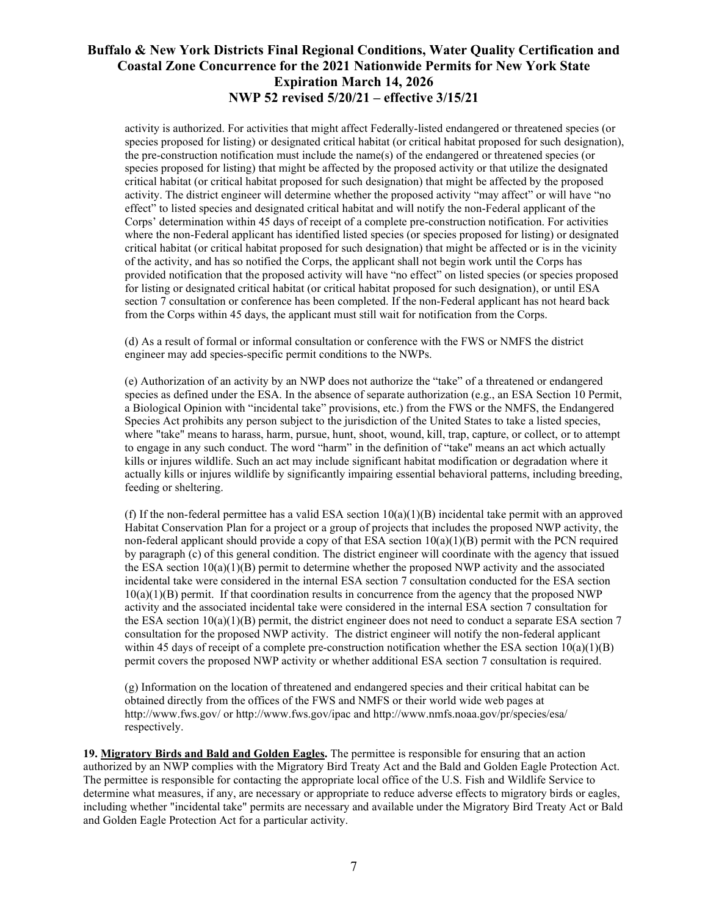activity is authorized. For activities that might affect Federally-listed endangered or threatened species (or species proposed for listing) or designated critical habitat (or critical habitat proposed for such designation), the pre-construction notification must include the name(s) of the endangered or threatened species (or species proposed for listing) that might be affected by the proposed activity or that utilize the designated critical habitat (or critical habitat proposed for such designation) that might be affected by the proposed activity. The district engineer will determine whether the proposed activity "may affect" or will have "no effect" to listed species and designated critical habitat and will notify the non-Federal applicant of the Corps' determination within 45 days of receipt of a complete pre-construction notification. For activities where the non-Federal applicant has identified listed species (or species proposed for listing) or designated critical habitat (or critical habitat proposed for such designation) that might be affected or is in the vicinity of the activity, and has so notified the Corps, the applicant shall not begin work until the Corps has provided notification that the proposed activity will have "no effect" on listed species (or species proposed for listing or designated critical habitat (or critical habitat proposed for such designation), or until ESA section 7 consultation or conference has been completed. If the non-Federal applicant has not heard back from the Corps within 45 days, the applicant must still wait for notification from the Corps.

(d) As a result of formal or informal consultation or conference with the FWS or NMFS the district engineer may add species-specific permit conditions to the NWPs.

(e) Authorization of an activity by an NWP does not authorize the "take" of a threatened or endangered species as defined under the ESA. In the absence of separate authorization (e.g., an ESA Section 10 Permit, a Biological Opinion with "incidental take" provisions, etc.) from the FWS or the NMFS, the Endangered Species Act prohibits any person subject to the jurisdiction of the United States to take a listed species, where "take" means to harass, harm, pursue, hunt, shoot, wound, kill, trap, capture, or collect, or to attempt to engage in any such conduct. The word "harm" in the definition of "take'' means an act which actually kills or injures wildlife. Such an act may include significant habitat modification or degradation where it actually kills or injures wildlife by significantly impairing essential behavioral patterns, including breeding, feeding or sheltering.

(f) If the non-federal permittee has a valid ESA section  $10(a)(1)(B)$  incidental take permit with an approved Habitat Conservation Plan for a project or a group of projects that includes the proposed NWP activity, the non-federal applicant should provide a copy of that ESA section  $10(a)(1)(B)$  permit with the PCN required by paragraph (c) of this general condition. The district engineer will coordinate with the agency that issued the ESA section  $10(a)(1)(B)$  permit to determine whether the proposed NWP activity and the associated incidental take were considered in the internal ESA section 7 consultation conducted for the ESA section  $10(a)(1)(B)$  permit. If that coordination results in concurrence from the agency that the proposed NWP activity and the associated incidental take were considered in the internal ESA section 7 consultation for the ESA section  $10(a)(1)(B)$  permit, the district engineer does not need to conduct a separate ESA section 7 consultation for the proposed NWP activity. The district engineer will notify the non-federal applicant within 45 days of receipt of a complete pre-construction notification whether the ESA section  $10(a)(1)(B)$ permit covers the proposed NWP activity or whether additional ESA section 7 consultation is required.

(g) Information on the location of threatened and endangered species and their critical habitat can be obtained directly from the offices of the FWS and NMFS or their world wide web pages at http://www.fws.gov/ or http://www.fws.gov/ipac and http://www.nmfs.noaa.gov/pr/species/esa/ respectively.

**19. Migratory Birds and Bald and Golden Eagles.** The permittee is responsible for ensuring that an action authorized by an NWP complies with the Migratory Bird Treaty Act and the Bald and Golden Eagle Protection Act. The permittee is responsible for contacting the appropriate local office of the U.S. Fish and Wildlife Service to determine what measures, if any, are necessary or appropriate to reduce adverse effects to migratory birds or eagles, including whether "incidental take" permits are necessary and available under the Migratory Bird Treaty Act or Bald and Golden Eagle Protection Act for a particular activity.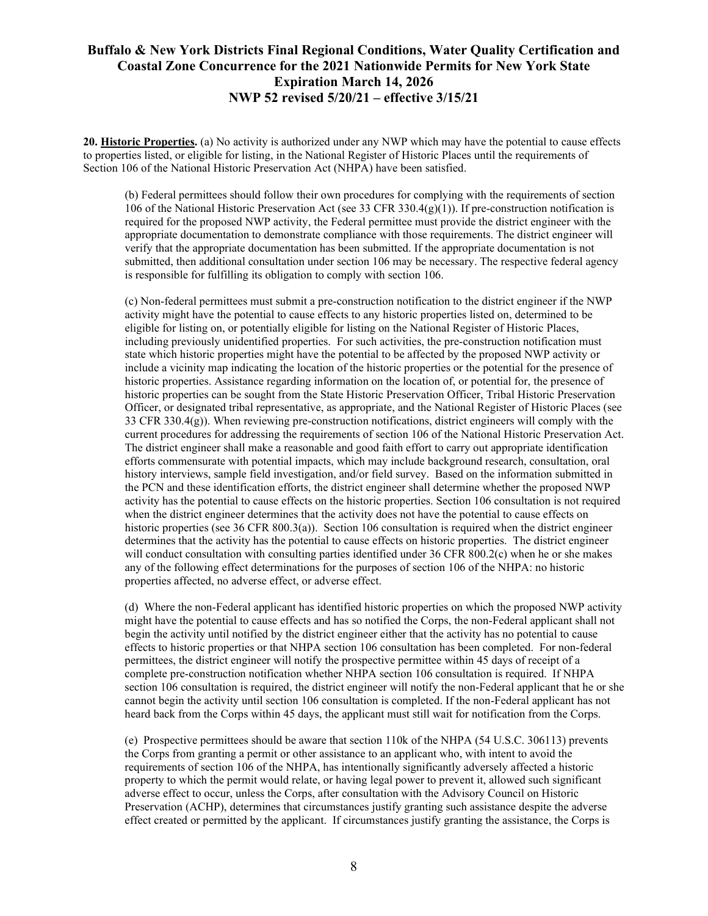**20. Historic Properties.** (a) No activity is authorized under any NWP which may have the potential to cause effects to properties listed, or eligible for listing, in the National Register of Historic Places until the requirements of Section 106 of the National Historic Preservation Act (NHPA) have been satisfied.

(b) Federal permittees should follow their own procedures for complying with the requirements of section 106 of the National Historic Preservation Act (see 33 CFR 330.4(g)(1)). If pre-construction notification is required for the proposed NWP activity, the Federal permittee must provide the district engineer with the appropriate documentation to demonstrate compliance with those requirements. The district engineer will verify that the appropriate documentation has been submitted. If the appropriate documentation is not submitted, then additional consultation under section 106 may be necessary. The respective federal agency is responsible for fulfilling its obligation to comply with section 106.

(c) Non-federal permittees must submit a pre-construction notification to the district engineer if the NWP activity might have the potential to cause effects to any historic properties listed on, determined to be eligible for listing on, or potentially eligible for listing on the National Register of Historic Places, including previously unidentified properties. For such activities, the pre-construction notification must state which historic properties might have the potential to be affected by the proposed NWP activity or include a vicinity map indicating the location of the historic properties or the potential for the presence of historic properties. Assistance regarding information on the location of, or potential for, the presence of historic properties can be sought from the State Historic Preservation Officer, Tribal Historic Preservation Officer, or designated tribal representative, as appropriate, and the National Register of Historic Places (see 33 CFR 330.4(g)). When reviewing pre-construction notifications, district engineers will comply with the current procedures for addressing the requirements of section 106 of the National Historic Preservation Act. The district engineer shall make a reasonable and good faith effort to carry out appropriate identification efforts commensurate with potential impacts, which may include background research, consultation, oral history interviews, sample field investigation, and/or field survey. Based on the information submitted in the PCN and these identification efforts, the district engineer shall determine whether the proposed NWP activity has the potential to cause effects on the historic properties. Section 106 consultation is not required when the district engineer determines that the activity does not have the potential to cause effects on historic properties (see 36 CFR 800.3(a)). Section 106 consultation is required when the district engineer determines that the activity has the potential to cause effects on historic properties. The district engineer will conduct consultation with consulting parties identified under 36 CFR 800.2(c) when he or she makes any of the following effect determinations for the purposes of section 106 of the NHPA: no historic properties affected, no adverse effect, or adverse effect.

(d) Where the non-Federal applicant has identified historic properties on which the proposed NWP activity might have the potential to cause effects and has so notified the Corps, the non-Federal applicant shall not begin the activity until notified by the district engineer either that the activity has no potential to cause effects to historic properties or that NHPA section 106 consultation has been completed. For non-federal permittees, the district engineer will notify the prospective permittee within 45 days of receipt of a complete pre-construction notification whether NHPA section 106 consultation is required. If NHPA section 106 consultation is required, the district engineer will notify the non-Federal applicant that he or she cannot begin the activity until section 106 consultation is completed. If the non-Federal applicant has not heard back from the Corps within 45 days, the applicant must still wait for notification from the Corps.

(e) Prospective permittees should be aware that section 110k of the NHPA (54 U.S.C. 306113) prevents the Corps from granting a permit or other assistance to an applicant who, with intent to avoid the requirements of section 106 of the NHPA, has intentionally significantly adversely affected a historic property to which the permit would relate, or having legal power to prevent it, allowed such significant adverse effect to occur, unless the Corps, after consultation with the Advisory Council on Historic Preservation (ACHP), determines that circumstances justify granting such assistance despite the adverse effect created or permitted by the applicant. If circumstances justify granting the assistance, the Corps is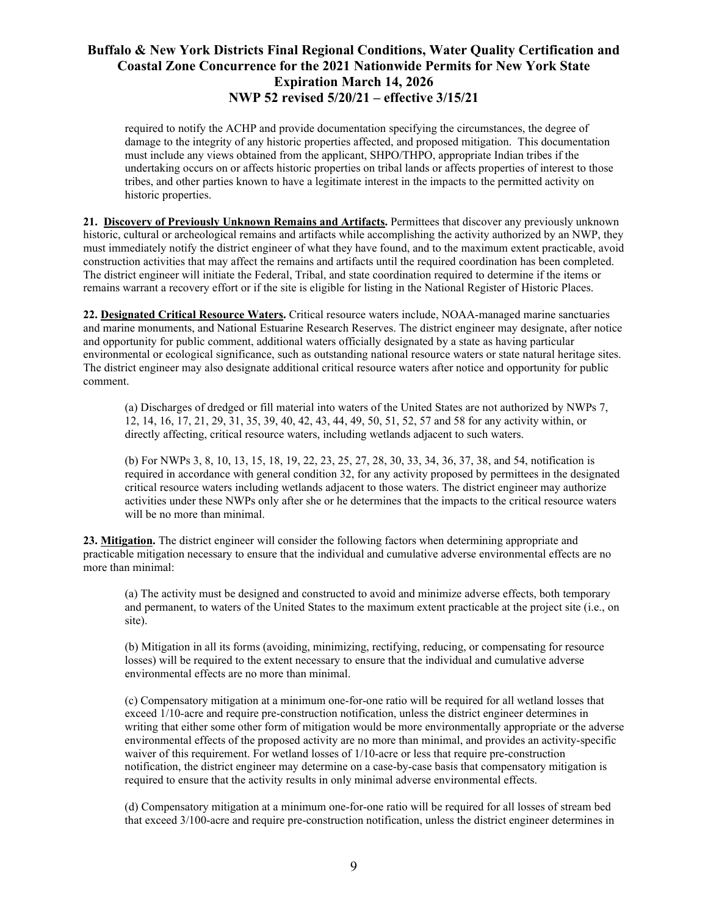required to notify the ACHP and provide documentation specifying the circumstances, the degree of damage to the integrity of any historic properties affected, and proposed mitigation. This documentation must include any views obtained from the applicant, SHPO/THPO, appropriate Indian tribes if the undertaking occurs on or affects historic properties on tribal lands or affects properties of interest to those tribes, and other parties known to have a legitimate interest in the impacts to the permitted activity on historic properties.

**21. Discovery of Previously Unknown Remains and Artifacts.** Permittees that discover any previously unknown historic, cultural or archeological remains and artifacts while accomplishing the activity authorized by an NWP, they must immediately notify the district engineer of what they have found, and to the maximum extent practicable, avoid construction activities that may affect the remains and artifacts until the required coordination has been completed. The district engineer will initiate the Federal, Tribal, and state coordination required to determine if the items or remains warrant a recovery effort or if the site is eligible for listing in the National Register of Historic Places.

**22. Designated Critical Resource Waters.** Critical resource waters include, NOAA-managed marine sanctuaries and marine monuments, and National Estuarine Research Reserves. The district engineer may designate, after notice and opportunity for public comment, additional waters officially designated by a state as having particular environmental or ecological significance, such as outstanding national resource waters or state natural heritage sites. The district engineer may also designate additional critical resource waters after notice and opportunity for public comment.

(a) Discharges of dredged or fill material into waters of the United States are not authorized by NWPs 7, 12, 14, 16, 17, 21, 29, 31, 35, 39, 40, 42, 43, 44, 49, 50, 51, 52, 57 and 58 for any activity within, or directly affecting, critical resource waters, including wetlands adjacent to such waters.

(b) For NWPs 3, 8, 10, 13, 15, 18, 19, 22, 23, 25, 27, 28, 30, 33, 34, 36, 37, 38, and 54, notification is required in accordance with general condition 32, for any activity proposed by permittees in the designated critical resource waters including wetlands adjacent to those waters. The district engineer may authorize activities under these NWPs only after she or he determines that the impacts to the critical resource waters will be no more than minimal.

**23. Mitigation.** The district engineer will consider the following factors when determining appropriate and practicable mitigation necessary to ensure that the individual and cumulative adverse environmental effects are no more than minimal:

(a) The activity must be designed and constructed to avoid and minimize adverse effects, both temporary and permanent, to waters of the United States to the maximum extent practicable at the project site (i.e., on site).

(b) Mitigation in all its forms (avoiding, minimizing, rectifying, reducing, or compensating for resource losses) will be required to the extent necessary to ensure that the individual and cumulative adverse environmental effects are no more than minimal.

(c) Compensatory mitigation at a minimum one-for-one ratio will be required for all wetland losses that exceed 1/10-acre and require pre-construction notification, unless the district engineer determines in writing that either some other form of mitigation would be more environmentally appropriate or the adverse environmental effects of the proposed activity are no more than minimal, and provides an activity-specific waiver of this requirement. For wetland losses of 1/10-acre or less that require pre-construction notification, the district engineer may determine on a case-by-case basis that compensatory mitigation is required to ensure that the activity results in only minimal adverse environmental effects.

(d) Compensatory mitigation at a minimum one-for-one ratio will be required for all losses of stream bed that exceed 3/100-acre and require pre-construction notification, unless the district engineer determines in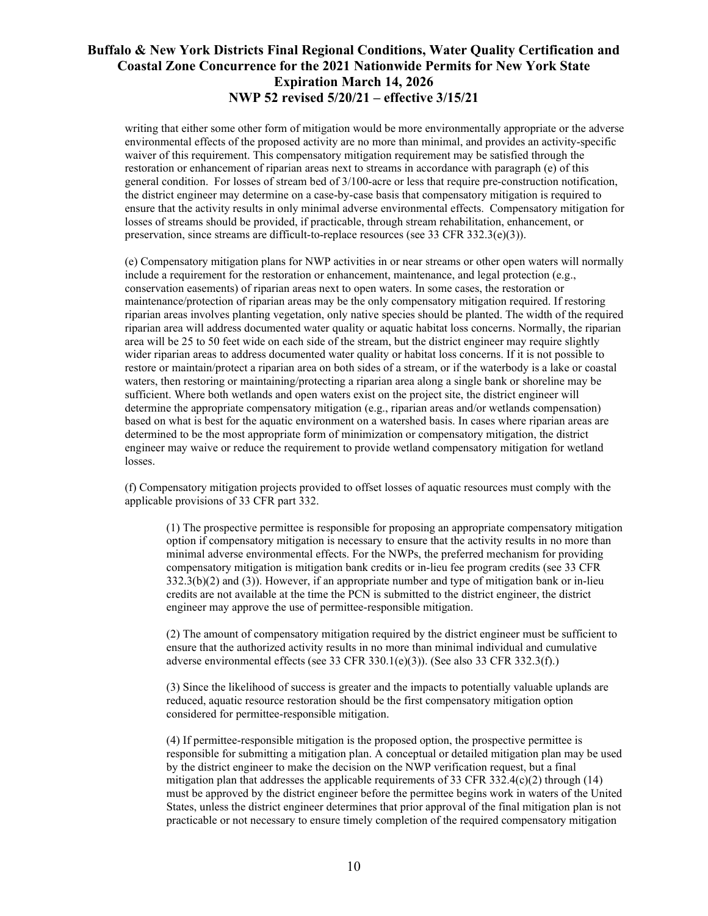writing that either some other form of mitigation would be more environmentally appropriate or the adverse environmental effects of the proposed activity are no more than minimal, and provides an activity-specific waiver of this requirement. This compensatory mitigation requirement may be satisfied through the restoration or enhancement of riparian areas next to streams in accordance with paragraph (e) of this general condition. For losses of stream bed of 3/100-acre or less that require pre-construction notification, the district engineer may determine on a case-by-case basis that compensatory mitigation is required to ensure that the activity results in only minimal adverse environmental effects. Compensatory mitigation for losses of streams should be provided, if practicable, through stream rehabilitation, enhancement, or preservation, since streams are difficult-to-replace resources (see 33 CFR 332.3(e)(3)).

(e) Compensatory mitigation plans for NWP activities in or near streams or other open waters will normally include a requirement for the restoration or enhancement, maintenance, and legal protection (e.g., conservation easements) of riparian areas next to open waters. In some cases, the restoration or maintenance/protection of riparian areas may be the only compensatory mitigation required. If restoring riparian areas involves planting vegetation, only native species should be planted. The width of the required riparian area will address documented water quality or aquatic habitat loss concerns. Normally, the riparian area will be 25 to 50 feet wide on each side of the stream, but the district engineer may require slightly wider riparian areas to address documented water quality or habitat loss concerns. If it is not possible to restore or maintain/protect a riparian area on both sides of a stream, or if the waterbody is a lake or coastal waters, then restoring or maintaining/protecting a riparian area along a single bank or shoreline may be sufficient. Where both wetlands and open waters exist on the project site, the district engineer will determine the appropriate compensatory mitigation (e.g., riparian areas and/or wetlands compensation) based on what is best for the aquatic environment on a watershed basis. In cases where riparian areas are determined to be the most appropriate form of minimization or compensatory mitigation, the district engineer may waive or reduce the requirement to provide wetland compensatory mitigation for wetland losses.

(f) Compensatory mitigation projects provided to offset losses of aquatic resources must comply with the applicable provisions of 33 CFR part 332.

(1) The prospective permittee is responsible for proposing an appropriate compensatory mitigation option if compensatory mitigation is necessary to ensure that the activity results in no more than minimal adverse environmental effects. For the NWPs, the preferred mechanism for providing compensatory mitigation is mitigation bank credits or in-lieu fee program credits (see 33 CFR 332.3(b)(2) and (3)). However, if an appropriate number and type of mitigation bank or in-lieu credits are not available at the time the PCN is submitted to the district engineer, the district engineer may approve the use of permittee-responsible mitigation.

(2) The amount of compensatory mitigation required by the district engineer must be sufficient to ensure that the authorized activity results in no more than minimal individual and cumulative adverse environmental effects (see 33 CFR 330.1(e)(3)). (See also 33 CFR 332.3(f).)

(3) Since the likelihood of success is greater and the impacts to potentially valuable uplands are reduced, aquatic resource restoration should be the first compensatory mitigation option considered for permittee-responsible mitigation.

(4) If permittee-responsible mitigation is the proposed option, the prospective permittee is responsible for submitting a mitigation plan. A conceptual or detailed mitigation plan may be used by the district engineer to make the decision on the NWP verification request, but a final mitigation plan that addresses the applicable requirements of 33 CFR 332.4(c)(2) through (14) must be approved by the district engineer before the permittee begins work in waters of the United States, unless the district engineer determines that prior approval of the final mitigation plan is not practicable or not necessary to ensure timely completion of the required compensatory mitigation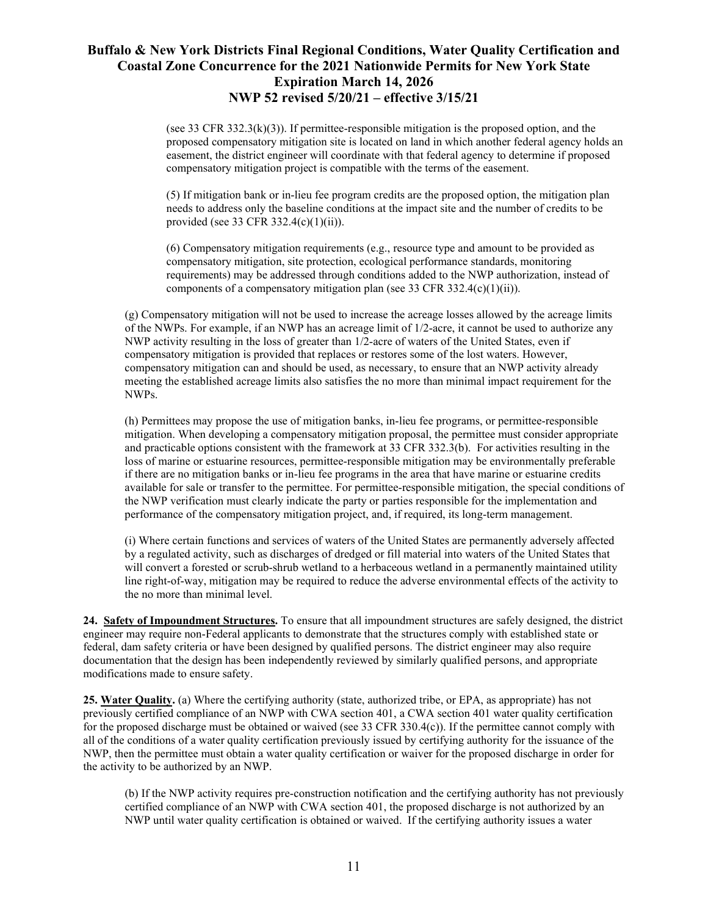(see 33 CFR 332.3( $k$ )(3)). If permittee-responsible mitigation is the proposed option, and the proposed compensatory mitigation site is located on land in which another federal agency holds an easement, the district engineer will coordinate with that federal agency to determine if proposed compensatory mitigation project is compatible with the terms of the easement.

(5) If mitigation bank or in-lieu fee program credits are the proposed option, the mitigation plan needs to address only the baseline conditions at the impact site and the number of credits to be provided (see 33 CFR 332.4(c)(1)(ii)).

(6) Compensatory mitigation requirements (e.g., resource type and amount to be provided as compensatory mitigation, site protection, ecological performance standards, monitoring requirements) may be addressed through conditions added to the NWP authorization, instead of components of a compensatory mitigation plan (see 33 CFR 332.4(c)(1)(ii)).

(g) Compensatory mitigation will not be used to increase the acreage losses allowed by the acreage limits of the NWPs. For example, if an NWP has an acreage limit of 1/2-acre, it cannot be used to authorize any NWP activity resulting in the loss of greater than 1/2-acre of waters of the United States, even if compensatory mitigation is provided that replaces or restores some of the lost waters. However, compensatory mitigation can and should be used, as necessary, to ensure that an NWP activity already meeting the established acreage limits also satisfies the no more than minimal impact requirement for the NWPs.

(h) Permittees may propose the use of mitigation banks, in-lieu fee programs, or permittee-responsible mitigation. When developing a compensatory mitigation proposal, the permittee must consider appropriate and practicable options consistent with the framework at 33 CFR 332.3(b). For activities resulting in the loss of marine or estuarine resources, permittee-responsible mitigation may be environmentally preferable if there are no mitigation banks or in-lieu fee programs in the area that have marine or estuarine credits available for sale or transfer to the permittee. For permittee-responsible mitigation, the special conditions of the NWP verification must clearly indicate the party or parties responsible for the implementation and performance of the compensatory mitigation project, and, if required, its long-term management.

(i) Where certain functions and services of waters of the United States are permanently adversely affected by a regulated activity, such as discharges of dredged or fill material into waters of the United States that will convert a forested or scrub-shrub wetland to a herbaceous wetland in a permanently maintained utility line right-of-way, mitigation may be required to reduce the adverse environmental effects of the activity to the no more than minimal level.

**24. Safety of Impoundment Structures.** To ensure that all impoundment structures are safely designed, the district engineer may require non-Federal applicants to demonstrate that the structures comply with established state or federal, dam safety criteria or have been designed by qualified persons. The district engineer may also require documentation that the design has been independently reviewed by similarly qualified persons, and appropriate modifications made to ensure safety.

**25. Water Quality.** (a) Where the certifying authority (state, authorized tribe, or EPA, as appropriate) has not previously certified compliance of an NWP with CWA section 401, a CWA section 401 water quality certification for the proposed discharge must be obtained or waived (see 33 CFR 330.4(c)). If the permittee cannot comply with all of the conditions of a water quality certification previously issued by certifying authority for the issuance of the NWP, then the permittee must obtain a water quality certification or waiver for the proposed discharge in order for the activity to be authorized by an NWP.

(b) If the NWP activity requires pre-construction notification and the certifying authority has not previously certified compliance of an NWP with CWA section 401, the proposed discharge is not authorized by an NWP until water quality certification is obtained or waived. If the certifying authority issues a water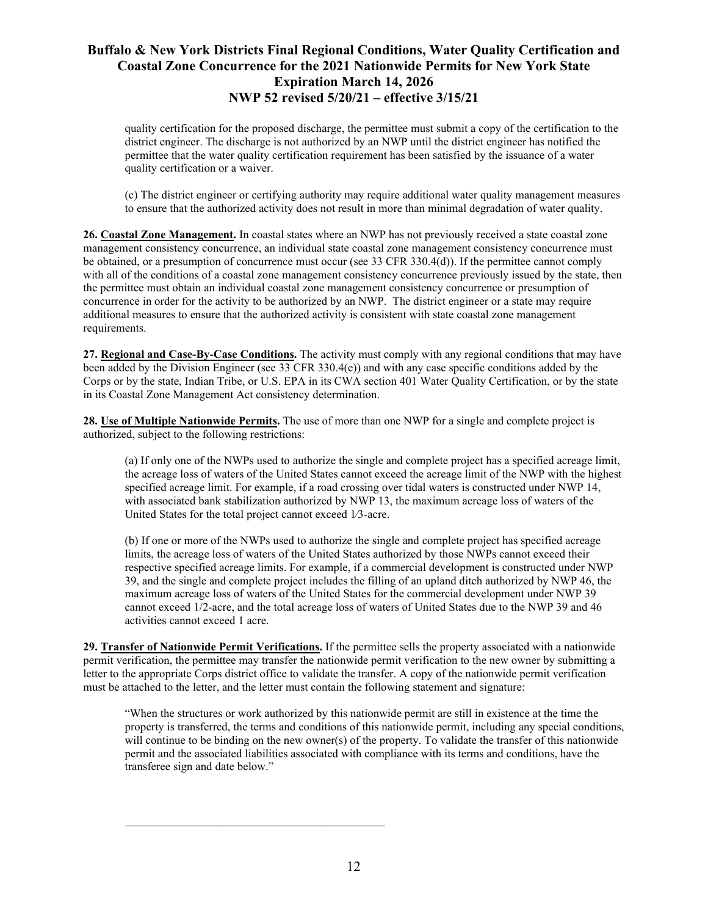quality certification for the proposed discharge, the permittee must submit a copy of the certification to the district engineer. The discharge is not authorized by an NWP until the district engineer has notified the permittee that the water quality certification requirement has been satisfied by the issuance of a water quality certification or a waiver.

(c) The district engineer or certifying authority may require additional water quality management measures to ensure that the authorized activity does not result in more than minimal degradation of water quality.

**26. Coastal Zone Management.** In coastal states where an NWP has not previously received a state coastal zone management consistency concurrence, an individual state coastal zone management consistency concurrence must be obtained, or a presumption of concurrence must occur (see 33 CFR 330.4(d)). If the permittee cannot comply with all of the conditions of a coastal zone management consistency concurrence previously issued by the state, then the permittee must obtain an individual coastal zone management consistency concurrence or presumption of concurrence in order for the activity to be authorized by an NWP. The district engineer or a state may require additional measures to ensure that the authorized activity is consistent with state coastal zone management requirements.

**27. Regional and Case-By-Case Conditions.** The activity must comply with any regional conditions that may have been added by the Division Engineer (see 33 CFR 330.4(e)) and with any case specific conditions added by the Corps or by the state, Indian Tribe, or U.S. EPA in its CWA section 401 Water Quality Certification, or by the state in its Coastal Zone Management Act consistency determination.

**28. Use of Multiple Nationwide Permits.** The use of more than one NWP for a single and complete project is authorized, subject to the following restrictions:

(a) If only one of the NWPs used to authorize the single and complete project has a specified acreage limit, the acreage loss of waters of the United States cannot exceed the acreage limit of the NWP with the highest specified acreage limit. For example, if a road crossing over tidal waters is constructed under NWP 14, with associated bank stabilization authorized by NWP 13, the maximum acreage loss of waters of the United States for the total project cannot exceed 1⁄3-acre.

(b) If one or more of the NWPs used to authorize the single and complete project has specified acreage limits, the acreage loss of waters of the United States authorized by those NWPs cannot exceed their respective specified acreage limits. For example, if a commercial development is constructed under NWP 39, and the single and complete project includes the filling of an upland ditch authorized by NWP 46, the maximum acreage loss of waters of the United States for the commercial development under NWP 39 cannot exceed 1/2-acre, and the total acreage loss of waters of United States due to the NWP 39 and 46 activities cannot exceed 1 acre.

**29. Transfer of Nationwide Permit Verifications.** If the permittee sells the property associated with a nationwide permit verification, the permittee may transfer the nationwide permit verification to the new owner by submitting a letter to the appropriate Corps district office to validate the transfer. A copy of the nationwide permit verification must be attached to the letter, and the letter must contain the following statement and signature:

"When the structures or work authorized by this nationwide permit are still in existence at the time the property is transferred, the terms and conditions of this nationwide permit, including any special conditions, will continue to be binding on the new owner(s) of the property. To validate the transfer of this nationwide permit and the associated liabilities associated with compliance with its terms and conditions, have the transferee sign and date below."

\_\_\_\_\_\_\_\_\_\_\_\_\_\_\_\_\_\_\_\_\_\_\_\_\_\_\_\_\_\_\_\_\_\_\_\_\_\_\_\_\_\_\_\_\_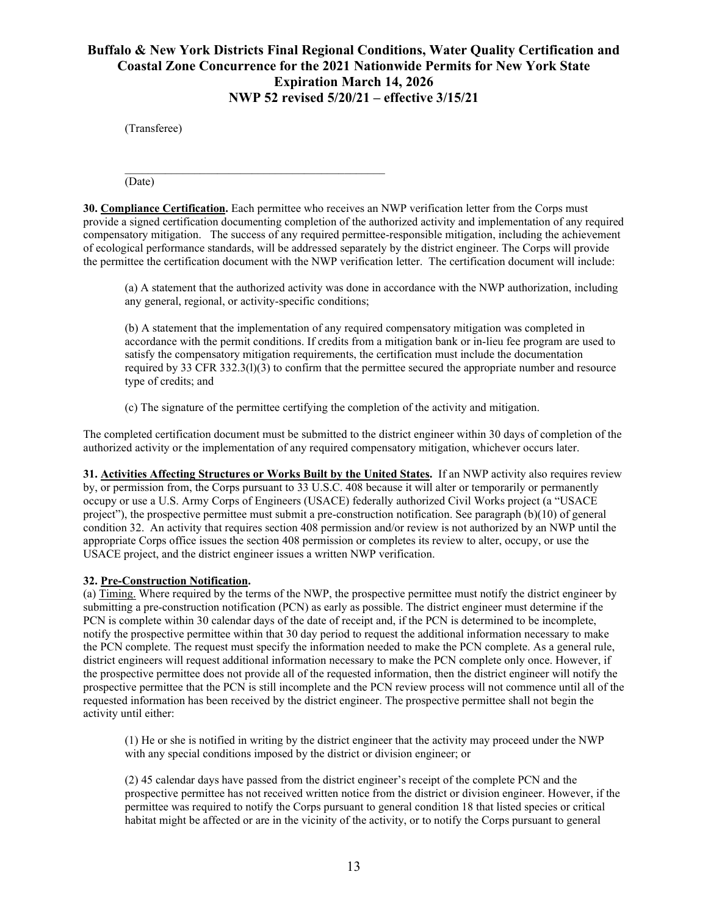(Transferee)

 $\mathcal{L}_\text{max}$  and  $\mathcal{L}_\text{max}$  and  $\mathcal{L}_\text{max}$  and  $\mathcal{L}_\text{max}$  and  $\mathcal{L}_\text{max}$ (Date)

**30. Compliance Certification.** Each permittee who receives an NWP verification letter from the Corps must provide a signed certification documenting completion of the authorized activity and implementation of any required compensatory mitigation. The success of any required permittee-responsible mitigation, including the achievement of ecological performance standards, will be addressed separately by the district engineer. The Corps will provide the permittee the certification document with the NWP verification letter. The certification document will include:

(a) A statement that the authorized activity was done in accordance with the NWP authorization, including any general, regional, or activity-specific conditions;

(b) A statement that the implementation of any required compensatory mitigation was completed in accordance with the permit conditions. If credits from a mitigation bank or in-lieu fee program are used to satisfy the compensatory mitigation requirements, the certification must include the documentation required by 33 CFR 332.3(l)(3) to confirm that the permittee secured the appropriate number and resource type of credits; and

(c) The signature of the permittee certifying the completion of the activity and mitigation.

The completed certification document must be submitted to the district engineer within 30 days of completion of the authorized activity or the implementation of any required compensatory mitigation, whichever occurs later.

**31. Activities Affecting Structures or Works Built by the United States.** If an NWP activity also requires review by, or permission from, the Corps pursuant to 33 U.S.C. 408 because it will alter or temporarily or permanently occupy or use a U.S. Army Corps of Engineers (USACE) federally authorized Civil Works project (a "USACE project"), the prospective permittee must submit a pre-construction notification. See paragraph (b)(10) of general condition 32. An activity that requires section 408 permission and/or review is not authorized by an NWP until the appropriate Corps office issues the section 408 permission or completes its review to alter, occupy, or use the USACE project, and the district engineer issues a written NWP verification.

### **32. Pre-Construction Notification.**

(a) Timing. Where required by the terms of the NWP, the prospective permittee must notify the district engineer by submitting a pre-construction notification (PCN) as early as possible. The district engineer must determine if the PCN is complete within 30 calendar days of the date of receipt and, if the PCN is determined to be incomplete, notify the prospective permittee within that 30 day period to request the additional information necessary to make the PCN complete. The request must specify the information needed to make the PCN complete. As a general rule, district engineers will request additional information necessary to make the PCN complete only once. However, if the prospective permittee does not provide all of the requested information, then the district engineer will notify the prospective permittee that the PCN is still incomplete and the PCN review process will not commence until all of the requested information has been received by the district engineer. The prospective permittee shall not begin the activity until either:

(1) He or she is notified in writing by the district engineer that the activity may proceed under the NWP with any special conditions imposed by the district or division engineer; or

(2) 45 calendar days have passed from the district engineer's receipt of the complete PCN and the prospective permittee has not received written notice from the district or division engineer. However, if the permittee was required to notify the Corps pursuant to general condition 18 that listed species or critical habitat might be affected or are in the vicinity of the activity, or to notify the Corps pursuant to general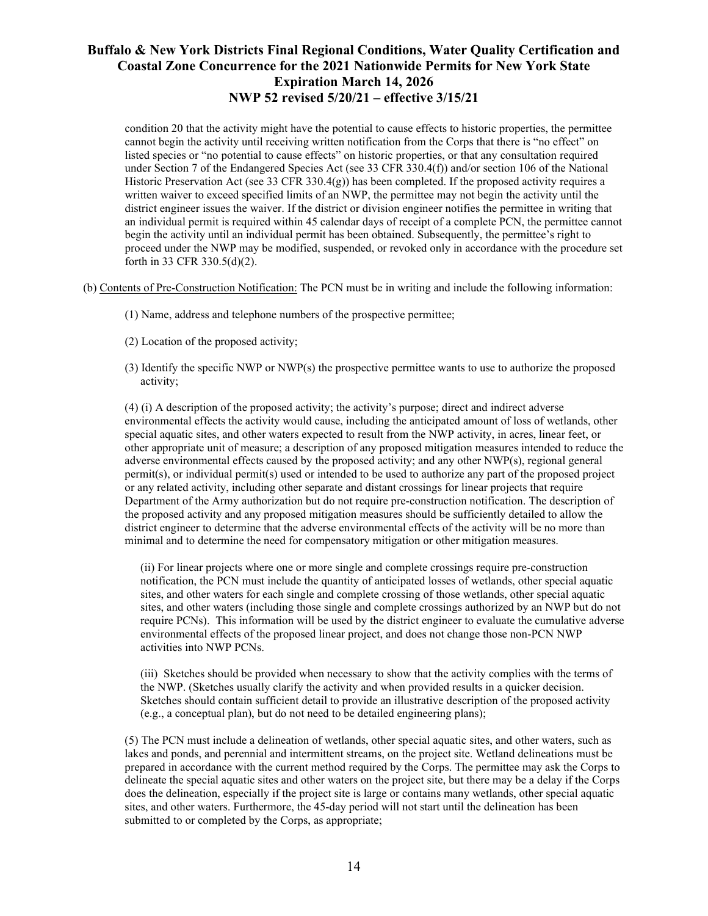condition 20 that the activity might have the potential to cause effects to historic properties, the permittee cannot begin the activity until receiving written notification from the Corps that there is "no effect" on listed species or "no potential to cause effects" on historic properties, or that any consultation required under Section 7 of the Endangered Species Act (see 33 CFR 330.4(f)) and/or section 106 of the National Historic Preservation Act (see 33 CFR 330.4(g)) has been completed. If the proposed activity requires a written waiver to exceed specified limits of an NWP, the permittee may not begin the activity until the district engineer issues the waiver. If the district or division engineer notifies the permittee in writing that an individual permit is required within 45 calendar days of receipt of a complete PCN, the permittee cannot begin the activity until an individual permit has been obtained. Subsequently, the permittee's right to proceed under the NWP may be modified, suspended, or revoked only in accordance with the procedure set forth in 33 CFR 330.5(d)(2).

- (b) Contents of Pre-Construction Notification: The PCN must be in writing and include the following information:
	- (1) Name, address and telephone numbers of the prospective permittee;
	- (2) Location of the proposed activity;
	- (3) Identify the specific NWP or NWP(s) the prospective permittee wants to use to authorize the proposed activity;

(4) (i) A description of the proposed activity; the activity's purpose; direct and indirect adverse environmental effects the activity would cause, including the anticipated amount of loss of wetlands, other special aquatic sites, and other waters expected to result from the NWP activity, in acres, linear feet, or other appropriate unit of measure; a description of any proposed mitigation measures intended to reduce the adverse environmental effects caused by the proposed activity; and any other NWP(s), regional general permit(s), or individual permit(s) used or intended to be used to authorize any part of the proposed project or any related activity, including other separate and distant crossings for linear projects that require Department of the Army authorization but do not require pre-construction notification. The description of the proposed activity and any proposed mitigation measures should be sufficiently detailed to allow the district engineer to determine that the adverse environmental effects of the activity will be no more than minimal and to determine the need for compensatory mitigation or other mitigation measures.

(ii) For linear projects where one or more single and complete crossings require pre-construction notification, the PCN must include the quantity of anticipated losses of wetlands, other special aquatic sites, and other waters for each single and complete crossing of those wetlands, other special aquatic sites, and other waters (including those single and complete crossings authorized by an NWP but do not require PCNs). This information will be used by the district engineer to evaluate the cumulative adverse environmental effects of the proposed linear project, and does not change those non-PCN NWP activities into NWP PCNs.

(iii) Sketches should be provided when necessary to show that the activity complies with the terms of the NWP. (Sketches usually clarify the activity and when provided results in a quicker decision. Sketches should contain sufficient detail to provide an illustrative description of the proposed activity (e.g., a conceptual plan), but do not need to be detailed engineering plans);

(5) The PCN must include a delineation of wetlands, other special aquatic sites, and other waters, such as lakes and ponds, and perennial and intermittent streams, on the project site. Wetland delineations must be prepared in accordance with the current method required by the Corps. The permittee may ask the Corps to delineate the special aquatic sites and other waters on the project site, but there may be a delay if the Corps does the delineation, especially if the project site is large or contains many wetlands, other special aquatic sites, and other waters. Furthermore, the 45-day period will not start until the delineation has been submitted to or completed by the Corps, as appropriate;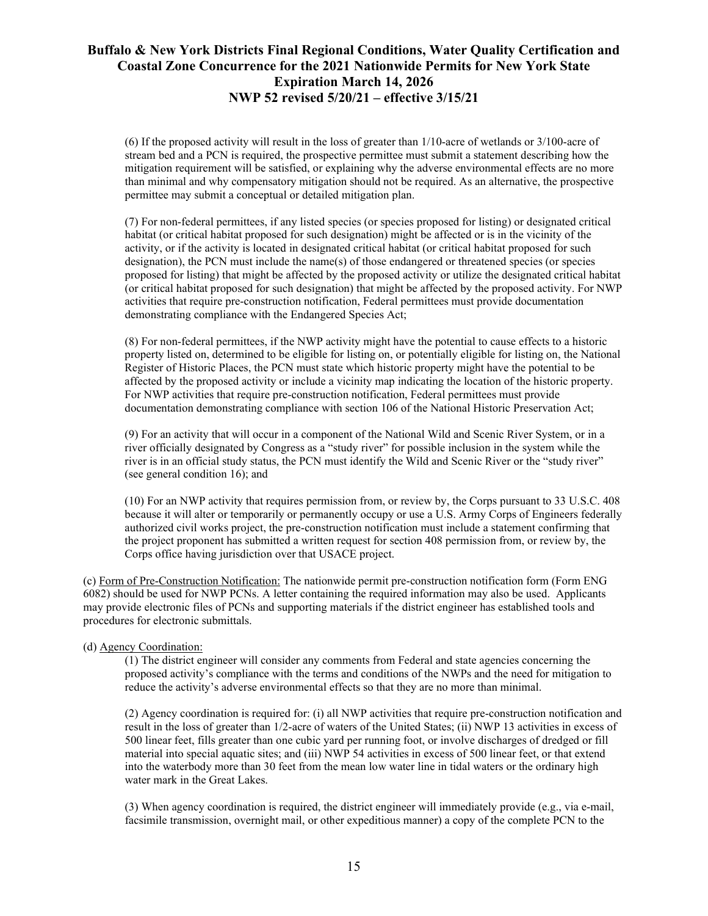(6) If the proposed activity will result in the loss of greater than 1/10-acre of wetlands or 3/100-acre of stream bed and a PCN is required, the prospective permittee must submit a statement describing how the mitigation requirement will be satisfied, or explaining why the adverse environmental effects are no more than minimal and why compensatory mitigation should not be required. As an alternative, the prospective permittee may submit a conceptual or detailed mitigation plan.

(7) For non-federal permittees, if any listed species (or species proposed for listing) or designated critical habitat (or critical habitat proposed for such designation) might be affected or is in the vicinity of the activity, or if the activity is located in designated critical habitat (or critical habitat proposed for such designation), the PCN must include the name(s) of those endangered or threatened species (or species proposed for listing) that might be affected by the proposed activity or utilize the designated critical habitat (or critical habitat proposed for such designation) that might be affected by the proposed activity. For NWP activities that require pre-construction notification, Federal permittees must provide documentation demonstrating compliance with the Endangered Species Act;

(8) For non-federal permittees, if the NWP activity might have the potential to cause effects to a historic property listed on, determined to be eligible for listing on, or potentially eligible for listing on, the National Register of Historic Places, the PCN must state which historic property might have the potential to be affected by the proposed activity or include a vicinity map indicating the location of the historic property. For NWP activities that require pre-construction notification, Federal permittees must provide documentation demonstrating compliance with section 106 of the National Historic Preservation Act;

(9) For an activity that will occur in a component of the National Wild and Scenic River System, or in a river officially designated by Congress as a "study river" for possible inclusion in the system while the river is in an official study status, the PCN must identify the Wild and Scenic River or the "study river" (see general condition 16); and

(10) For an NWP activity that requires permission from, or review by, the Corps pursuant to 33 U.S.C. 408 because it will alter or temporarily or permanently occupy or use a U.S. Army Corps of Engineers federally authorized civil works project, the pre-construction notification must include a statement confirming that the project proponent has submitted a written request for section 408 permission from, or review by, the Corps office having jurisdiction over that USACE project.

(c) Form of Pre-Construction Notification: The nationwide permit pre-construction notification form (Form ENG 6082) should be used for NWP PCNs. A letter containing the required information may also be used. Applicants may provide electronic files of PCNs and supporting materials if the district engineer has established tools and procedures for electronic submittals.

#### (d) Agency Coordination:

(1) The district engineer will consider any comments from Federal and state agencies concerning the proposed activity's compliance with the terms and conditions of the NWPs and the need for mitigation to reduce the activity's adverse environmental effects so that they are no more than minimal.

(2) Agency coordination is required for: (i) all NWP activities that require pre-construction notification and result in the loss of greater than 1/2-acre of waters of the United States; (ii) NWP 13 activities in excess of 500 linear feet, fills greater than one cubic yard per running foot, or involve discharges of dredged or fill material into special aquatic sites; and (iii) NWP 54 activities in excess of 500 linear feet, or that extend into the waterbody more than 30 feet from the mean low water line in tidal waters or the ordinary high water mark in the Great Lakes.

(3) When agency coordination is required, the district engineer will immediately provide (e.g., via e-mail, facsimile transmission, overnight mail, or other expeditious manner) a copy of the complete PCN to the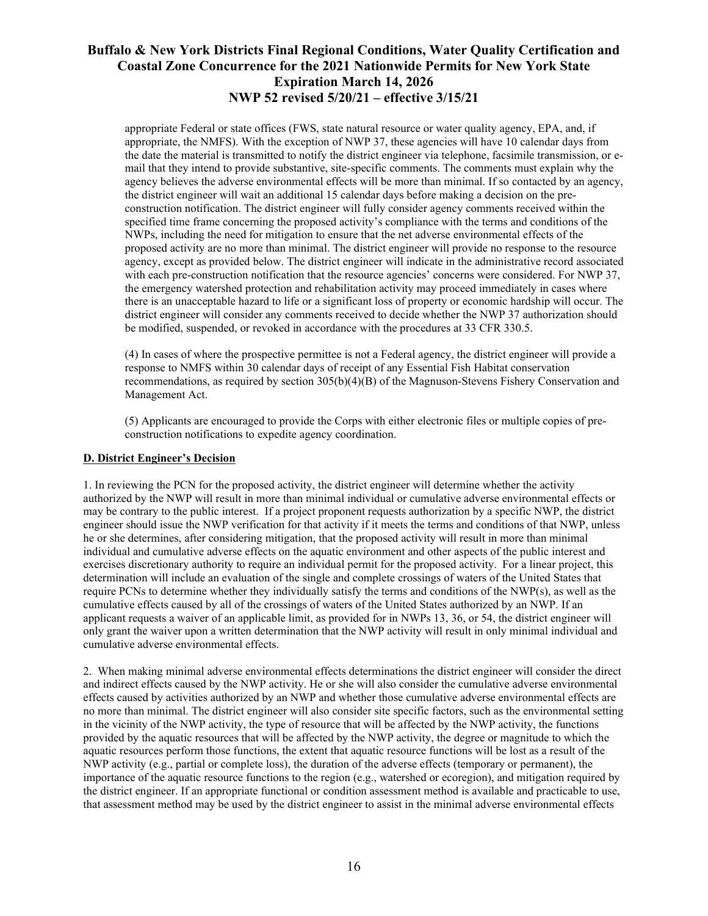appropriate Federal or state offices (FWS, state natural resource or water quality agency, EPA, and, if appropriate, the NMFS). With the exception of NWP 37, these agencies will have 10 calendar days from the date the material is transmitted to notify the district engineer via telephone, facsimile transmission, or email that they intend to provide substantive, site-specific comments. The comments must explain why the agency believes the adverse environmental effects will be more than minimal. If so contacted by an agency, the district engineer will wait an additional 15 calendar days before making a decision on the preconstruction notification. The district engineer will fully consider agency comments received within the specified time frame concerning the proposed activity's compliance with the terms and conditions of the NWPs, including the need for mitigation to ensure that the net adverse environmental effects of the proposed activity are no more than minimal. The district engineer will provide no response to the resource agency, except as provided below. The district engineer will indicate in the administrative record associated with each pre-construction notification that the resource agencies' concerns were considered. For NWP 37, the emergency watershed protection and rehabilitation activity may proceed immediately in cases where there is an unacceptable hazard to life or a significant loss of property or economic hardship will occur. The district engineer will consider any comments received to decide whether the NWP 37 authorization should be modified, suspended, or revoked in accordance with the procedures at 33 CFR 330.5.

(4) In cases of where the prospective permittee is not a Federal agency, the district engineer will provide a response to NMFS within 30 calendar days of receipt of any Essential Fish Habitat conservation recommendations, as required by section 305(b)(4)(B) of the Magnuson-Stevens Fishery Conservation and Management Act.

(5) Applicants are encouraged to provide the Corps with either electronic files or multiple copies of preconstruction notifications to expedite agency coordination.

#### **D. District Engineer's Decision**

1. In reviewing the PCN for the proposed activity, the district engineer will determine whether the activity authorized by the NWP will result in more than minimal individual or cumulative adverse environmental effects or may be contrary to the public interest. If a project proponent requests authorization by a specific NWP, the district engineer should issue the NWP verification for that activity if it meets the terms and conditions of that NWP, unless he or she determines, after considering mitigation, that the proposed activity will result in more than minimal individual and cumulative adverse effects on the aquatic environment and other aspects of the public interest and exercises discretionary authority to require an individual permit for the proposed activity. For a linear project, this determination will include an evaluation of the single and complete crossings of waters of the United States that require PCNs to determine whether they individually satisfy the terms and conditions of the NWP(s), as well as the cumulative effects caused by all of the crossings of waters of the United States authorized by an NWP. If an applicant requests a waiver of an applicable limit, as provided for in NWPs 13, 36, or 54, the district engineer will only grant the waiver upon a written determination that the NWP activity will result in only minimal individual and cumulative adverse environmental effects.

2. When making minimal adverse environmental effects determinations the district engineer will consider the direct and indirect effects caused by the NWP activity. He or she will also consider the cumulative adverse environmental effects caused by activities authorized by an NWP and whether those cumulative adverse environmental effects are no more than minimal. The district engineer will also consider site specific factors, such as the environmental setting in the vicinity of the NWP activity, the type of resource that will be affected by the NWP activity, the functions provided by the aquatic resources that will be affected by the NWP activity, the degree or magnitude to which the aquatic resources perform those functions, the extent that aquatic resource functions will be lost as a result of the NWP activity (e.g., partial or complete loss), the duration of the adverse effects (temporary or permanent), the importance of the aquatic resource functions to the region (e.g., watershed or ecoregion), and mitigation required by the district engineer. If an appropriate functional or condition assessment method is available and practicable to use, that assessment method may be used by the district engineer to assist in the minimal adverse environmental effects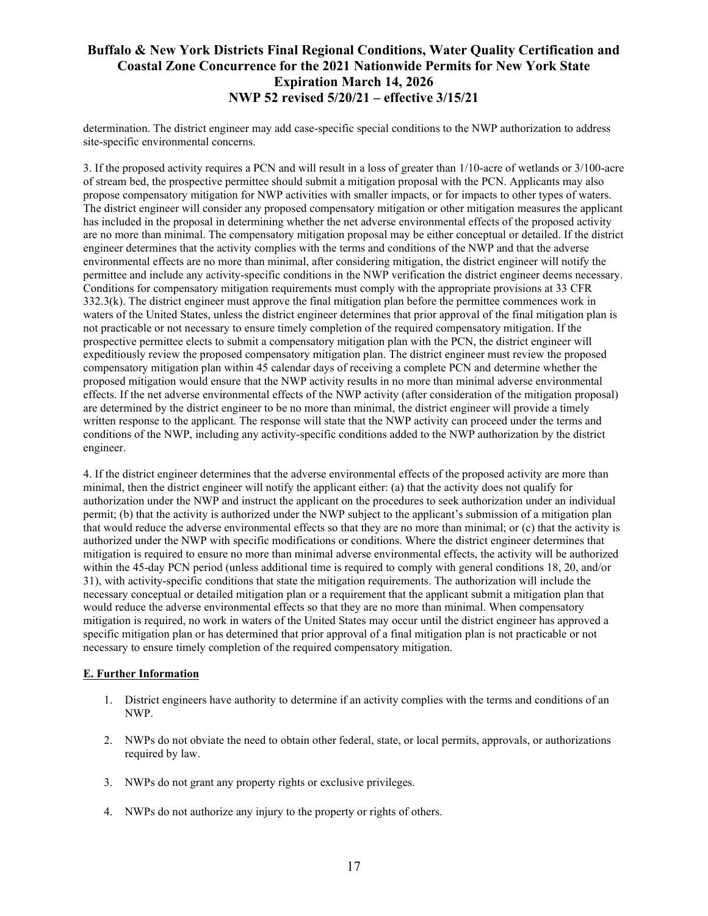determination. The district engineer may add case-specific special conditions to the NWP authorization to address site-specific environmental concerns.

3. If the proposed activity requires a PCN and will result in a loss of greater than 1/10-acre of wetlands or 3/100-acre of stream bed, the prospective permittee should submit a mitigation proposal with the PCN. Applicants may also propose compensatory mitigation for NWP activities with smaller impacts, or for impacts to other types of waters. The district engineer will consider any proposed compensatory mitigation or other mitigation measures the applicant has included in the proposal in determining whether the net adverse environmental effects of the proposed activity are no more than minimal. The compensatory mitigation proposal may be either conceptual or detailed. If the district engineer determines that the activity complies with the terms and conditions of the NWP and that the adverse environmental effects are no more than minimal, after considering mitigation, the district engineer will notify the permittee and include any activity-specific conditions in the NWP verification the district engineer deems necessary. Conditions for compensatory mitigation requirements must comply with the appropriate provisions at 33 CFR 332.3(k). The district engineer must approve the final mitigation plan before the permittee commences work in waters of the United States, unless the district engineer determines that prior approval of the final mitigation plan is not practicable or not necessary to ensure timely completion of the required compensatory mitigation. If the prospective permittee elects to submit a compensatory mitigation plan with the PCN, the district engineer will expeditiously review the proposed compensatory mitigation plan. The district engineer must review the proposed compensatory mitigation plan within 45 calendar days of receiving a complete PCN and determine whether the proposed mitigation would ensure that the NWP activity results in no more than minimal adverse environmental effects. If the net adverse environmental effects of the NWP activity (after consideration of the mitigation proposal) are determined by the district engineer to be no more than minimal, the district engineer will provide a timely written response to the applicant. The response will state that the NWP activity can proceed under the terms and conditions of the NWP, including any activity-specific conditions added to the NWP authorization by the district engineer.

4. If the district engineer determines that the adverse environmental effects of the proposed activity are more than minimal, then the district engineer will notify the applicant either: (a) that the activity does not qualify for authorization under the NWP and instruct the applicant on the procedures to seek authorization under an individual permit; (b) that the activity is authorized under the NWP subject to the applicant's submission of a mitigation plan that would reduce the adverse environmental effects so that they are no more than minimal; or (c) that the activity is authorized under the NWP with specific modifications or conditions. Where the district engineer determines that mitigation is required to ensure no more than minimal adverse environmental effects, the activity will be authorized within the 45-day PCN period (unless additional time is required to comply with general conditions 18, 20, and/or 31), with activity-specific conditions that state the mitigation requirements. The authorization will include the necessary conceptual or detailed mitigation plan or a requirement that the applicant submit a mitigation plan that would reduce the adverse environmental effects so that they are no more than minimal. When compensatory mitigation is required, no work in waters of the United States may occur until the district engineer has approved a specific mitigation plan or has determined that prior approval of a final mitigation plan is not practicable or not necessary to ensure timely completion of the required compensatory mitigation.

### **E. Further Information**

- 1. District engineers have authority to determine if an activity complies with the terms and conditions of an NWP.
- 2. NWPs do not obviate the need to obtain other federal, state, or local permits, approvals, or authorizations required by law.
- 3. NWPs do not grant any property rights or exclusive privileges.
- 4. NWPs do not authorize any injury to the property or rights of others.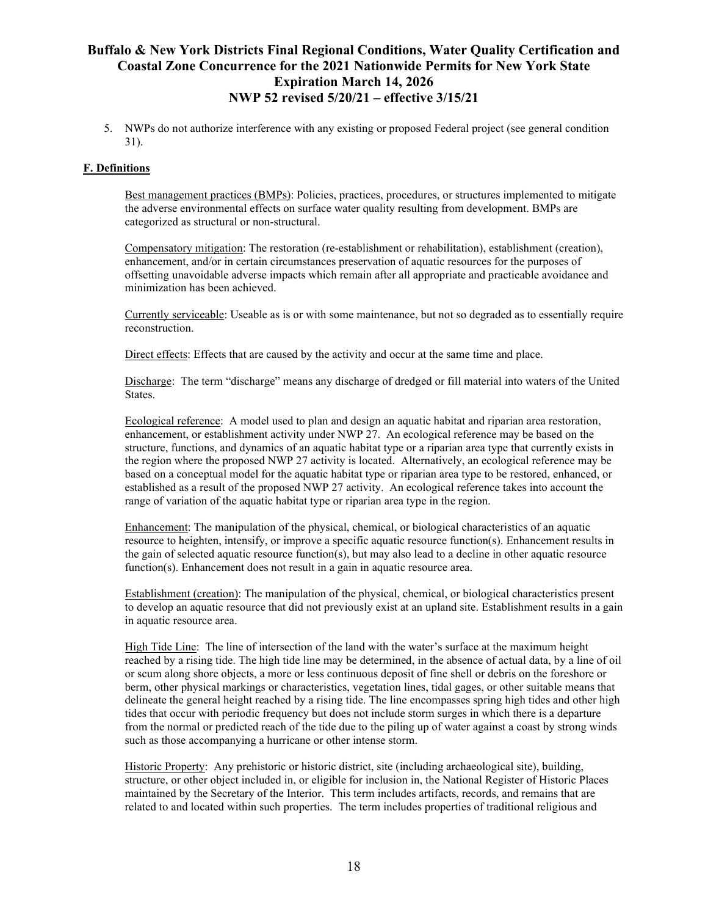5. NWPs do not authorize interference with any existing or proposed Federal project (see general condition 31).

### **F. Definitions**

Best management practices (BMPs): Policies, practices, procedures, or structures implemented to mitigate the adverse environmental effects on surface water quality resulting from development. BMPs are categorized as structural or non-structural.

Compensatory mitigation: The restoration (re-establishment or rehabilitation), establishment (creation), enhancement, and/or in certain circumstances preservation of aquatic resources for the purposes of offsetting unavoidable adverse impacts which remain after all appropriate and practicable avoidance and minimization has been achieved.

Currently serviceable: Useable as is or with some maintenance, but not so degraded as to essentially require reconstruction.

Direct effects: Effects that are caused by the activity and occur at the same time and place.

Discharge: The term "discharge" means any discharge of dredged or fill material into waters of the United States.

Ecological reference: A model used to plan and design an aquatic habitat and riparian area restoration, enhancement, or establishment activity under NWP 27. An ecological reference may be based on the structure, functions, and dynamics of an aquatic habitat type or a riparian area type that currently exists in the region where the proposed NWP 27 activity is located. Alternatively, an ecological reference may be based on a conceptual model for the aquatic habitat type or riparian area type to be restored, enhanced, or established as a result of the proposed NWP 27 activity. An ecological reference takes into account the range of variation of the aquatic habitat type or riparian area type in the region.

Enhancement: The manipulation of the physical, chemical, or biological characteristics of an aquatic resource to heighten, intensify, or improve a specific aquatic resource function(s). Enhancement results in the gain of selected aquatic resource function(s), but may also lead to a decline in other aquatic resource function(s). Enhancement does not result in a gain in aquatic resource area.

Establishment (creation): The manipulation of the physical, chemical, or biological characteristics present to develop an aquatic resource that did not previously exist at an upland site. Establishment results in a gain in aquatic resource area.

High Tide Line: The line of intersection of the land with the water's surface at the maximum height reached by a rising tide. The high tide line may be determined, in the absence of actual data, by a line of oil or scum along shore objects, a more or less continuous deposit of fine shell or debris on the foreshore or berm, other physical markings or characteristics, vegetation lines, tidal gages, or other suitable means that delineate the general height reached by a rising tide. The line encompasses spring high tides and other high tides that occur with periodic frequency but does not include storm surges in which there is a departure from the normal or predicted reach of the tide due to the piling up of water against a coast by strong winds such as those accompanying a hurricane or other intense storm.

Historic Property: Any prehistoric or historic district, site (including archaeological site), building, structure, or other object included in, or eligible for inclusion in, the National Register of Historic Places maintained by the Secretary of the Interior. This term includes artifacts, records, and remains that are related to and located within such properties. The term includes properties of traditional religious and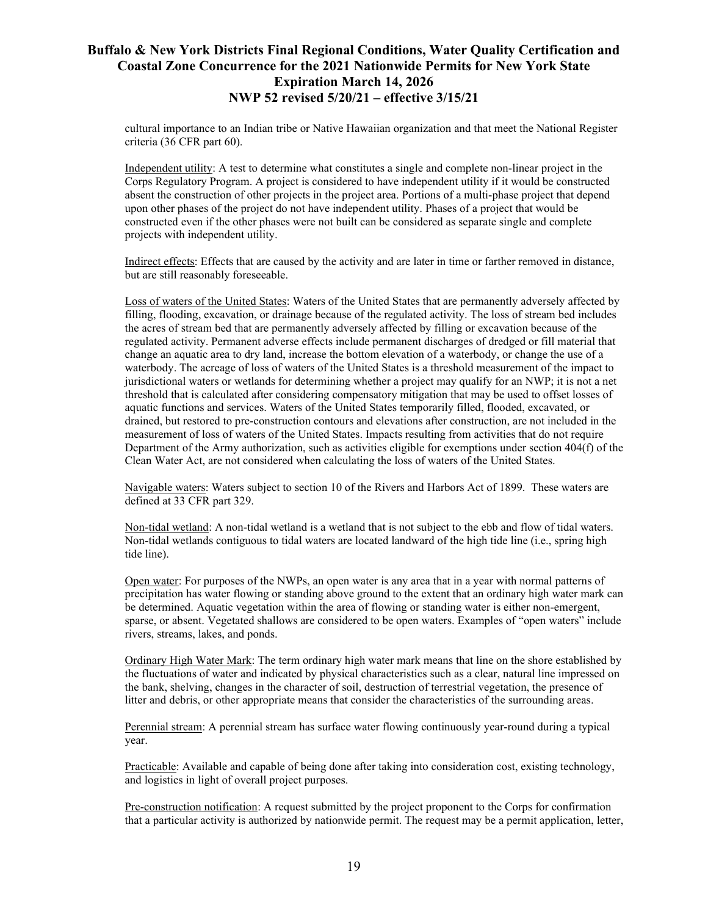cultural importance to an Indian tribe or Native Hawaiian organization and that meet the National Register criteria (36 CFR part 60).

Independent utility: A test to determine what constitutes a single and complete non-linear project in the Corps Regulatory Program. A project is considered to have independent utility if it would be constructed absent the construction of other projects in the project area. Portions of a multi-phase project that depend upon other phases of the project do not have independent utility. Phases of a project that would be constructed even if the other phases were not built can be considered as separate single and complete projects with independent utility.

Indirect effects: Effects that are caused by the activity and are later in time or farther removed in distance, but are still reasonably foreseeable.

Loss of waters of the United States: Waters of the United States that are permanently adversely affected by filling, flooding, excavation, or drainage because of the regulated activity. The loss of stream bed includes the acres of stream bed that are permanently adversely affected by filling or excavation because of the regulated activity. Permanent adverse effects include permanent discharges of dredged or fill material that change an aquatic area to dry land, increase the bottom elevation of a waterbody, or change the use of a waterbody. The acreage of loss of waters of the United States is a threshold measurement of the impact to jurisdictional waters or wetlands for determining whether a project may qualify for an NWP; it is not a net threshold that is calculated after considering compensatory mitigation that may be used to offset losses of aquatic functions and services. Waters of the United States temporarily filled, flooded, excavated, or drained, but restored to pre-construction contours and elevations after construction, are not included in the measurement of loss of waters of the United States. Impacts resulting from activities that do not require Department of the Army authorization, such as activities eligible for exemptions under section 404(f) of the Clean Water Act, are not considered when calculating the loss of waters of the United States.

Navigable waters: Waters subject to section 10 of the Rivers and Harbors Act of 1899. These waters are defined at 33 CFR part 329.

Non-tidal wetland: A non-tidal wetland is a wetland that is not subject to the ebb and flow of tidal waters. Non-tidal wetlands contiguous to tidal waters are located landward of the high tide line (i.e., spring high tide line).

Open water: For purposes of the NWPs, an open water is any area that in a year with normal patterns of precipitation has water flowing or standing above ground to the extent that an ordinary high water mark can be determined. Aquatic vegetation within the area of flowing or standing water is either non-emergent, sparse, or absent. Vegetated shallows are considered to be open waters. Examples of "open waters" include rivers, streams, lakes, and ponds.

Ordinary High Water Mark: The term ordinary high water mark means that line on the shore established by the fluctuations of water and indicated by physical characteristics such as a clear, natural line impressed on the bank, shelving, changes in the character of soil, destruction of terrestrial vegetation, the presence of litter and debris, or other appropriate means that consider the characteristics of the surrounding areas.

Perennial stream: A perennial stream has surface water flowing continuously year-round during a typical year.

Practicable: Available and capable of being done after taking into consideration cost, existing technology, and logistics in light of overall project purposes.

Pre-construction notification: A request submitted by the project proponent to the Corps for confirmation that a particular activity is authorized by nationwide permit. The request may be a permit application, letter,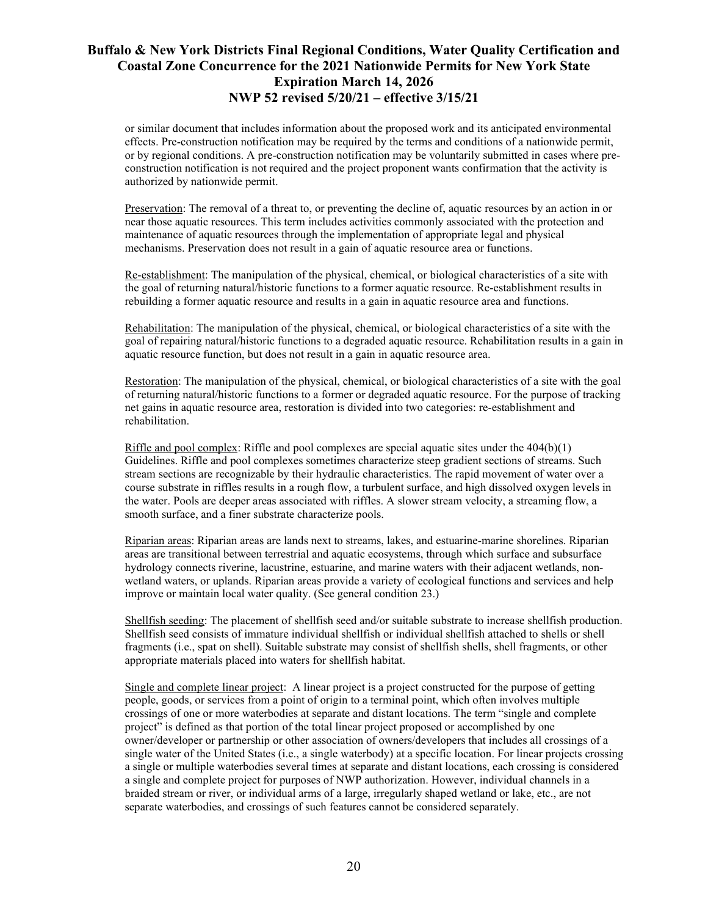or similar document that includes information about the proposed work and its anticipated environmental effects. Pre-construction notification may be required by the terms and conditions of a nationwide permit, or by regional conditions. A pre-construction notification may be voluntarily submitted in cases where preconstruction notification is not required and the project proponent wants confirmation that the activity is authorized by nationwide permit.

Preservation: The removal of a threat to, or preventing the decline of, aquatic resources by an action in or near those aquatic resources. This term includes activities commonly associated with the protection and maintenance of aquatic resources through the implementation of appropriate legal and physical mechanisms. Preservation does not result in a gain of aquatic resource area or functions.

Re-establishment: The manipulation of the physical, chemical, or biological characteristics of a site with the goal of returning natural/historic functions to a former aquatic resource. Re-establishment results in rebuilding a former aquatic resource and results in a gain in aquatic resource area and functions.

Rehabilitation: The manipulation of the physical, chemical, or biological characteristics of a site with the goal of repairing natural/historic functions to a degraded aquatic resource. Rehabilitation results in a gain in aquatic resource function, but does not result in a gain in aquatic resource area.

Restoration: The manipulation of the physical, chemical, or biological characteristics of a site with the goal of returning natural/historic functions to a former or degraded aquatic resource. For the purpose of tracking net gains in aquatic resource area, restoration is divided into two categories: re-establishment and rehabilitation.

Riffle and pool complex: Riffle and pool complexes are special aquatic sites under the  $404(b)(1)$ Guidelines. Riffle and pool complexes sometimes characterize steep gradient sections of streams. Such stream sections are recognizable by their hydraulic characteristics. The rapid movement of water over a course substrate in riffles results in a rough flow, a turbulent surface, and high dissolved oxygen levels in the water. Pools are deeper areas associated with riffles. A slower stream velocity, a streaming flow, a smooth surface, and a finer substrate characterize pools.

Riparian areas: Riparian areas are lands next to streams, lakes, and estuarine-marine shorelines. Riparian areas are transitional between terrestrial and aquatic ecosystems, through which surface and subsurface hydrology connects riverine, lacustrine, estuarine, and marine waters with their adjacent wetlands, nonwetland waters, or uplands. Riparian areas provide a variety of ecological functions and services and help improve or maintain local water quality. (See general condition 23.)

Shellfish seeding: The placement of shellfish seed and/or suitable substrate to increase shellfish production. Shellfish seed consists of immature individual shellfish or individual shellfish attached to shells or shell fragments (i.e., spat on shell). Suitable substrate may consist of shellfish shells, shell fragments, or other appropriate materials placed into waters for shellfish habitat.

Single and complete linear project: A linear project is a project constructed for the purpose of getting people, goods, or services from a point of origin to a terminal point, which often involves multiple crossings of one or more waterbodies at separate and distant locations. The term "single and complete project" is defined as that portion of the total linear project proposed or accomplished by one owner/developer or partnership or other association of owners/developers that includes all crossings of a single water of the United States (i.e., a single waterbody) at a specific location. For linear projects crossing a single or multiple waterbodies several times at separate and distant locations, each crossing is considered a single and complete project for purposes of NWP authorization. However, individual channels in a braided stream or river, or individual arms of a large, irregularly shaped wetland or lake, etc., are not separate waterbodies, and crossings of such features cannot be considered separately.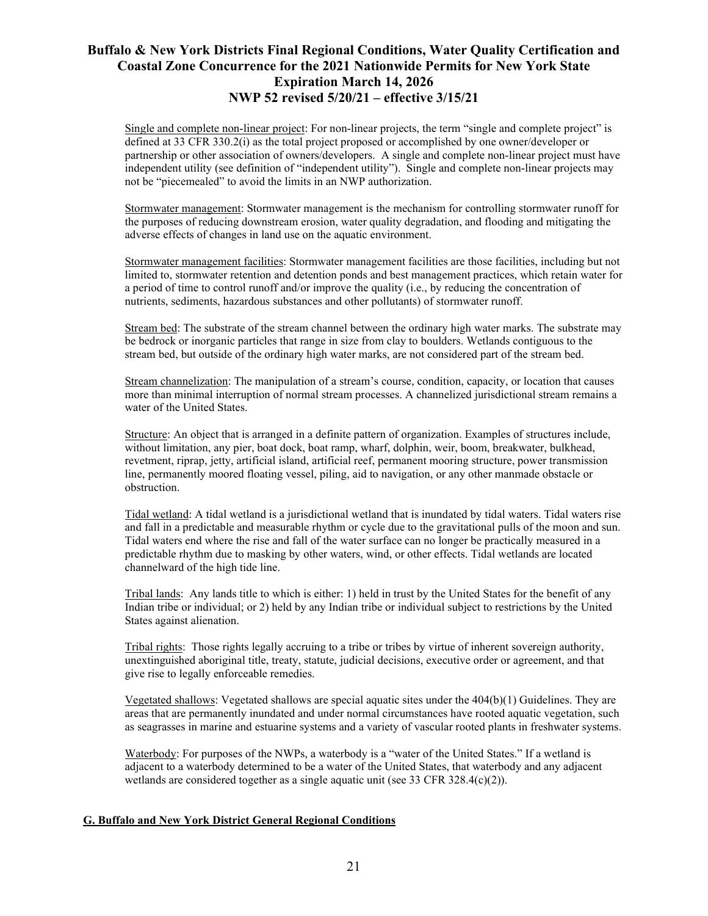Single and complete non-linear project: For non-linear projects, the term "single and complete project" is defined at 33 CFR 330.2(i) as the total project proposed or accomplished by one owner/developer or partnership or other association of owners/developers. A single and complete non-linear project must have independent utility (see definition of "independent utility"). Single and complete non-linear projects may not be "piecemealed" to avoid the limits in an NWP authorization.

Stormwater management: Stormwater management is the mechanism for controlling stormwater runoff for the purposes of reducing downstream erosion, water quality degradation, and flooding and mitigating the adverse effects of changes in land use on the aquatic environment.

Stormwater management facilities: Stormwater management facilities are those facilities, including but not limited to, stormwater retention and detention ponds and best management practices, which retain water for a period of time to control runoff and/or improve the quality (i.e., by reducing the concentration of nutrients, sediments, hazardous substances and other pollutants) of stormwater runoff.

Stream bed: The substrate of the stream channel between the ordinary high water marks. The substrate may be bedrock or inorganic particles that range in size from clay to boulders. Wetlands contiguous to the stream bed, but outside of the ordinary high water marks, are not considered part of the stream bed.

Stream channelization: The manipulation of a stream's course, condition, capacity, or location that causes more than minimal interruption of normal stream processes. A channelized jurisdictional stream remains a water of the United States.

Structure: An object that is arranged in a definite pattern of organization. Examples of structures include, without limitation, any pier, boat dock, boat ramp, wharf, dolphin, weir, boom, breakwater, bulkhead, revetment, riprap, jetty, artificial island, artificial reef, permanent mooring structure, power transmission line, permanently moored floating vessel, piling, aid to navigation, or any other manmade obstacle or obstruction.

Tidal wetland: A tidal wetland is a jurisdictional wetland that is inundated by tidal waters. Tidal waters rise and fall in a predictable and measurable rhythm or cycle due to the gravitational pulls of the moon and sun. Tidal waters end where the rise and fall of the water surface can no longer be practically measured in a predictable rhythm due to masking by other waters, wind, or other effects. Tidal wetlands are located channelward of the high tide line.

Tribal lands: Any lands title to which is either: 1) held in trust by the United States for the benefit of any Indian tribe or individual; or 2) held by any Indian tribe or individual subject to restrictions by the United States against alienation.

Tribal rights: Those rights legally accruing to a tribe or tribes by virtue of inherent sovereign authority, unextinguished aboriginal title, treaty, statute, judicial decisions, executive order or agreement, and that give rise to legally enforceable remedies.

Vegetated shallows: Vegetated shallows are special aquatic sites under the 404(b)(1) Guidelines. They are areas that are permanently inundated and under normal circumstances have rooted aquatic vegetation, such as seagrasses in marine and estuarine systems and a variety of vascular rooted plants in freshwater systems.

Waterbody: For purposes of the NWPs, a waterbody is a "water of the United States." If a wetland is adjacent to a waterbody determined to be a water of the United States, that waterbody and any adjacent wetlands are considered together as a single aquatic unit (see 33 CFR 328.4(c)(2)).

### **G. Buffalo and New York District General Regional Conditions**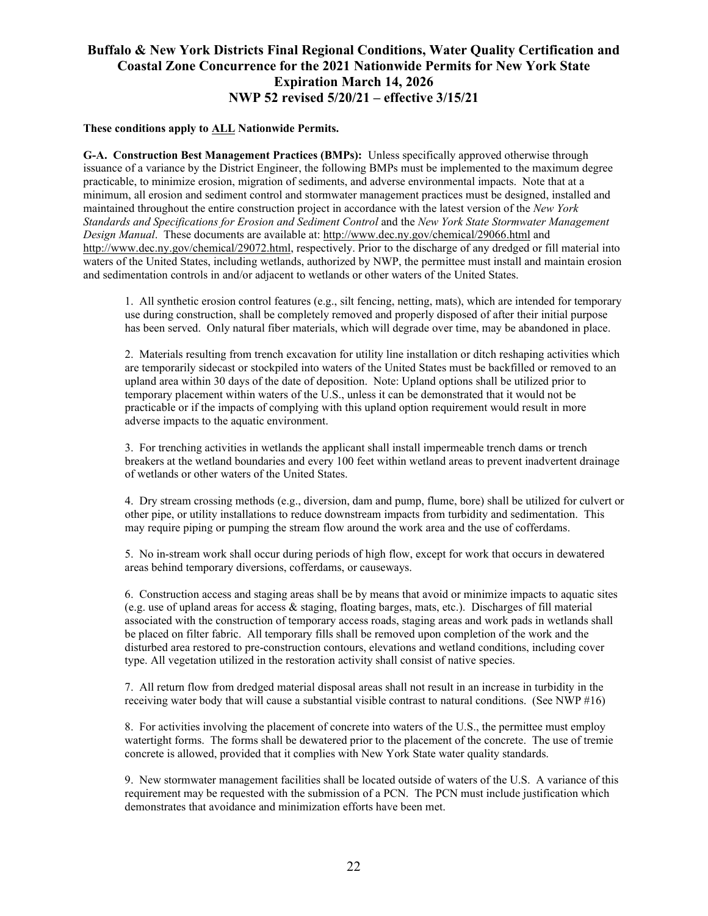#### **These conditions apply to ALL Nationwide Permits.**

**G-A. Construction Best Management Practices (BMPs):** Unless specifically approved otherwise through issuance of a variance by the District Engineer, the following BMPs must be implemented to the maximum degree practicable, to minimize erosion, migration of sediments, and adverse environmental impacts. Note that at a minimum, all erosion and sediment control and stormwater management practices must be designed, installed and maintained throughout the entire construction project in accordance with the latest version of the *New York Standards and Specifications for Erosion and Sediment Control* and the *New York State Stormwater Management Design Manual*. These documents are available at[: http://www.d](http://www.dec.ny.gov/chemical/29066.html)ec.ny.gov/chemical/29066.html and <http://www.dec.ny.gov/chemical/29072.html>, respectively. Prior to the discharge of any dredged or fill material into waters of the United States, including wetlands, authorized by NWP, the permittee must install and maintain erosion and sedimentation controls in and/or adjacent to wetlands or other waters of the United States.

1. All synthetic erosion control features (e.g., silt fencing, netting, mats), which are intended for temporary use during construction, shall be completely removed and properly disposed of after their initial purpose has been served. Only natural fiber materials, which will degrade over time, may be abandoned in place.

2. Materials resulting from trench excavation for utility line installation or ditch reshaping activities which are temporarily sidecast or stockpiled into waters of the United States must be backfilled or removed to an upland area within 30 days of the date of deposition. Note: Upland options shall be utilized prior to temporary placement within waters of the U.S., unless it can be demonstrated that it would not be practicable or if the impacts of complying with this upland option requirement would result in more adverse impacts to the aquatic environment.

3. For trenching activities in wetlands the applicant shall install impermeable trench dams or trench breakers at the wetland boundaries and every 100 feet within wetland areas to prevent inadvertent drainage of wetlands or other waters of the United States.

4. Dry stream crossing methods (e.g., diversion, dam and pump, flume, bore) shall be utilized for culvert or other pipe, or utility installations to reduce downstream impacts from turbidity and sedimentation. This may require piping or pumping the stream flow around the work area and the use of cofferdams.

5. No in-stream work shall occur during periods of high flow, except for work that occurs in dewatered areas behind temporary diversions, cofferdams, or causeways.

6. Construction access and staging areas shall be by means that avoid or minimize impacts to aquatic sites (e.g. use of upland areas for access & staging, floating barges, mats, etc.). Discharges of fill material associated with the construction of temporary access roads, staging areas and work pads in wetlands shall be placed on filter fabric. All temporary fills shall be removed upon completion of the work and the disturbed area restored to pre-construction contours, elevations and wetland conditions, including cover type. All vegetation utilized in the restoration activity shall consist of native species.

7. All return flow from dredged material disposal areas shall not result in an increase in turbidity in the receiving water body that will cause a substantial visible contrast to natural conditions. (See NWP #16)

8. For activities involving the placement of concrete into waters of the U.S., the permittee must employ watertight forms. The forms shall be dewatered prior to the placement of the concrete. The use of tremie concrete is allowed, provided that it complies with New York State water quality standards.

9. New stormwater management facilities shall be located outside of waters of the U.S. A variance of this requirement may be requested with the submission of a PCN. The PCN must include justification which demonstrates that avoidance and minimization efforts have been met.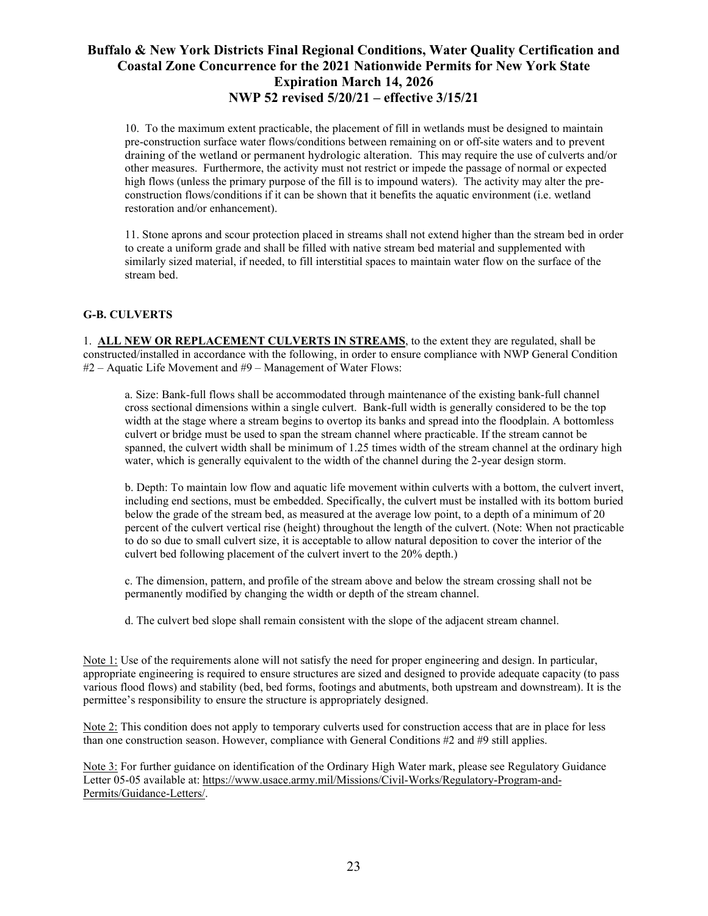10. To the maximum extent practicable, the placement of fill in wetlands must be designed to maintain pre-construction surface water flows/conditions between remaining on or off-site waters and to prevent draining of the wetland or permanent hydrologic alteration. This may require the use of culverts and/or other measures. Furthermore, the activity must not restrict or impede the passage of normal or expected high flows (unless the primary purpose of the fill is to impound waters). The activity may alter the preconstruction flows/conditions if it can be shown that it benefits the aquatic environment (i.e. wetland restoration and/or enhancement).

11. Stone aprons and scour protection placed in streams shall not extend higher than the stream bed in order to create a uniform grade and shall be filled with native stream bed material and supplemented with similarly sized material, if needed, to fill interstitial spaces to maintain water flow on the surface of the stream bed.

### **G-B. CULVERTS**

1. **ALL NEW OR REPLACEMENT CULVERTS IN STREAMS**, to the extent they are regulated, shall be constructed/installed in accordance with the following, in order to ensure compliance with NWP General Condition #2 – Aquatic Life Movement and #9 – Management of Water Flows:

a. Size: Bank-full flows shall be accommodated through maintenance of the existing bank-full channel cross sectional dimensions within a single culvert. Bank-full width is generally considered to be the top width at the stage where a stream begins to overtop its banks and spread into the floodplain. A bottomless culvert or bridge must be used to span the stream channel where practicable. If the stream cannot be spanned, the culvert width shall be minimum of 1.25 times width of the stream channel at the ordinary high water, which is generally equivalent to the width of the channel during the 2-year design storm.

b. Depth: To maintain low flow and aquatic life movement within culverts with a bottom, the culvert invert, including end sections, must be embedded. Specifically, the culvert must be installed with its bottom buried below the grade of the stream bed, as measured at the average low point, to a depth of a minimum of 20 percent of the culvert vertical rise (height) throughout the length of the culvert. (Note: When not practicable to do so due to small culvert size, it is acceptable to allow natural deposition to cover the interior of the culvert bed following placement of the culvert invert to the 20% depth.)

c. The dimension, pattern, and profile of the stream above and below the stream crossing shall not be permanently modified by changing the width or depth of the stream channel.

d. The culvert bed slope shall remain consistent with the slope of the adjacent stream channel.

Note 1: Use of the requirements alone will not satisfy the need for proper engineering and design. In particular, appropriate engineering is required to ensure structures are sized and designed to provide adequate capacity (to pass various flood flows) and stability (bed, bed forms, footings and abutments, both upstream and downstream). It is the permittee's responsibility to ensure the structure is appropriately designed.

Note 2: This condition does not apply to temporary culverts used for construction access that are in place for less than one construction season. However, compliance with General Conditions #2 and #9 still applies.

Note 3: For further guidance on identification of the Ordinary High Water mark, please see Regulatory Guidance Letter 05-05 available at: [https://www.usace.army.mil/Missions/Civil-Works/Regulatory-Program-and-](https://www.usace.army.mil/Missions/Civil-Works/Regulatory-Program-and-Permits/Guidance-Letters/)[Permits/Guidance-Letters/.](https://www.usace.army.mil/Missions/Civil-Works/Regulatory-Program-and-Permits/Guidance-Letters/)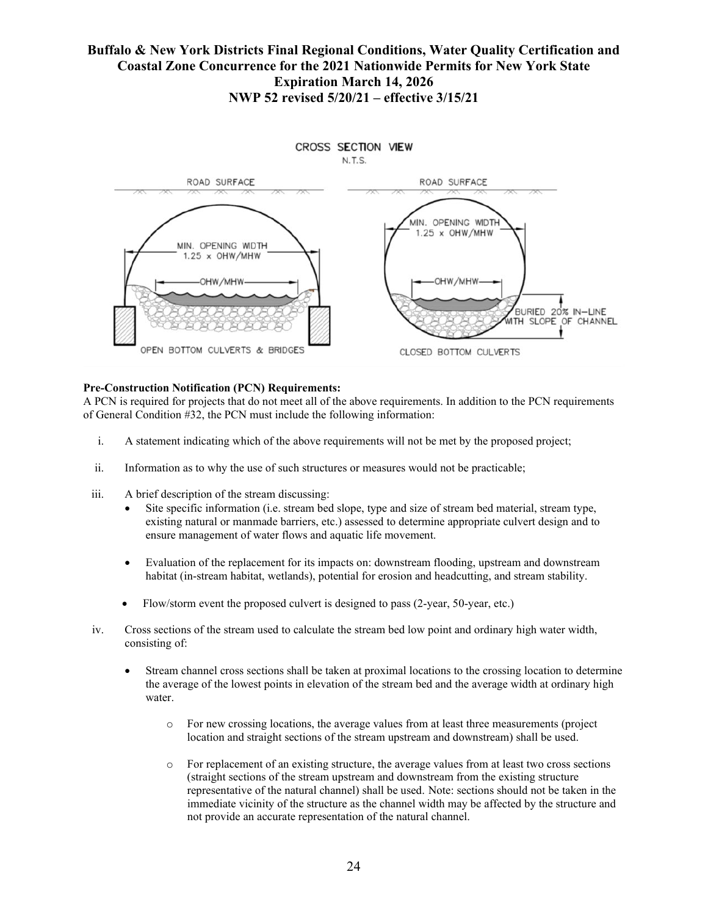

### **Pre-Construction Notification (PCN) Requirements:**

A PCN is required for projects that do not meet all of the above requirements. In addition to the PCN requirements of General Condition #32, the PCN must include the following information:

- i. A statement indicating which of the above requirements will not be met by the proposed project;
- ii. Information as to why the use of such structures or measures would not be practicable;
- iii. A brief description of the stream discussing:
	- Site specific information (i.e. stream bed slope, type and size of stream bed material, stream type, existing natural or manmade barriers, etc.) assessed to determine appropriate culvert design and to ensure management of water flows and aquatic life movement.
	- Evaluation of the replacement for its impacts on: downstream flooding, upstream and downstream habitat (in-stream habitat, wetlands), potential for erosion and headcutting, and stream stability.
	- Flow/storm event the proposed culvert is designed to pass (2-year, 50-year, etc.)
- iv. Cross sections of the stream used to calculate the stream bed low point and ordinary high water width, consisting of:
	- Stream channel cross sections shall be taken at proximal locations to the crossing location to determine the average of the lowest points in elevation of the stream bed and the average width at ordinary high water.
		- o For new crossing locations, the average values from at least three measurements (project location and straight sections of the stream upstream and downstream) shall be used.
		- o For replacement of an existing structure, the average values from at least two cross sections (straight sections of the stream upstream and downstream from the existing structure representative of the natural channel) shall be used. Note: sections should not be taken in the immediate vicinity of the structure as the channel width may be affected by the structure and not provide an accurate representation of the natural channel.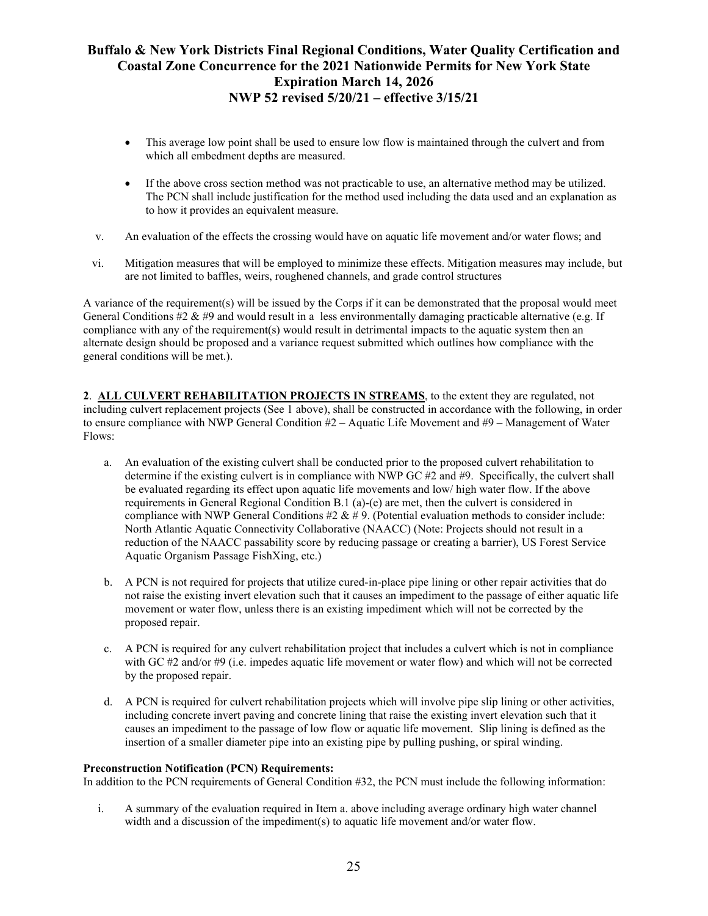- This average low point shall be used to ensure low flow is maintained through the culvert and from which all embedment depths are measured.
- If the above cross section method was not practicable to use, an alternative method may be utilized. The PCN shall include justification for the method used including the data used and an explanation as to how it provides an equivalent measure.
- v. An evaluation of the effects the crossing would have on aquatic life movement and/or water flows; and
- vi. Mitigation measures that will be employed to minimize these effects. Mitigation measures may include, but are not limited to baffles, weirs, roughened channels, and grade control structures

A variance of the requirement(s) will be issued by the Corps if it can be demonstrated that the proposal would meet General Conditions #2 & #9 and would result in a less environmentally damaging practicable alternative (e.g. If compliance with any of the requirement(s) would result in detrimental impacts to the aquatic system then an alternate design should be proposed and a variance request submitted which outlines how compliance with the general conditions will be met.).

**2**. **ALL CULVERT REHABILITATION PROJECTS IN STREAMS**, to the extent they are regulated, not including culvert replacement projects (See 1 above), shall be constructed in accordance with the following, in order to ensure compliance with NWP General Condition #2 – Aquatic Life Movement and #9 – Management of Water Flows:

- a. An evaluation of the existing culvert shall be conducted prior to the proposed culvert rehabilitation to determine if the existing culvert is in compliance with NWP GC  $#2$  and  $#9$ . Specifically, the culvert shall be evaluated regarding its effect upon aquatic life movements and low/ high water flow. If the above requirements in General Regional Condition B.1 (a)-(e) are met, then the culvert is considered in compliance with NWP General Conditions  $\#2 \& \# 9$ . (Potential evaluation methods to consider include: North Atlantic Aquatic Connectivity Collaborative (NAACC) (Note: Projects should not result in a reduction of the NAACC passability score by reducing passage or creating a barrier), US Forest Service Aquatic Organism Passage FishXing, etc.)
- b. A PCN is not required for projects that utilize cured-in-place pipe lining or other repair activities that do not raise the existing invert elevation such that it causes an impediment to the passage of either aquatic life movement or water flow, unless there is an existing impediment which will not be corrected by the proposed repair.
- c. A PCN is required for any culvert rehabilitation project that includes a culvert which is not in compliance with GC #2 and/or #9 (i.e. impedes aquatic life movement or water flow) and which will not be corrected by the proposed repair.
- d. A PCN is required for culvert rehabilitation projects which will involve pipe slip lining or other activities, including concrete invert paving and concrete lining that raise the existing invert elevation such that it causes an impediment to the passage of low flow or aquatic life movement. Slip lining is defined as the insertion of a smaller diameter pipe into an existing pipe by pulling pushing, or spiral winding.

### **Preconstruction Notification (PCN) Requirements:**

In addition to the PCN requirements of General Condition #32, the PCN must include the following information:

i. A summary of the evaluation required in Item a. above including average ordinary high water channel width and a discussion of the impediment(s) to aquatic life movement and/or water flow.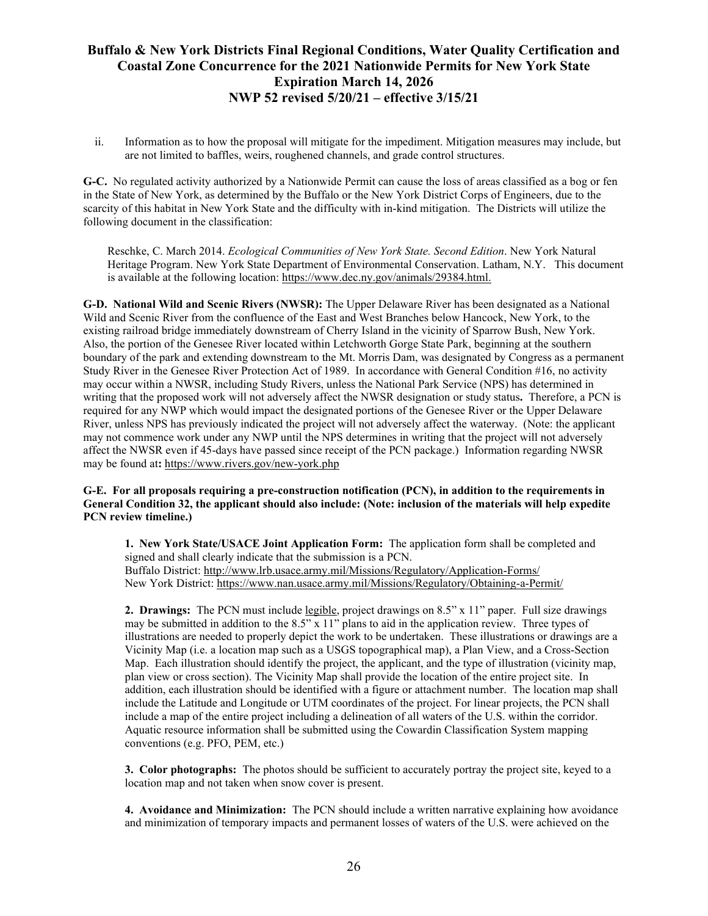ii. Information as to how the proposal will mitigate for the impediment. Mitigation measures may include, but are not limited to baffles, weirs, roughened channels, and grade control structures.

**G-C.** No regulated activity authorized by a Nationwide Permit can cause the loss of areas classified as a bog or fen in the State of New York, as determined by the Buffalo or the New York District Corps of Engineers, due to the scarcity of this habitat in New York State and the difficulty with in-kind mitigation. The Districts will utilize the following document in the classification:

Reschke, C. March 2014. *Ecological Communities of New York State. Second Edition*. New York Natural Heritage Program. New York State Department of Environmental Conservation. Latham, N.Y. This document is available at the following location: [https://www.dec.ny.gov/animals/29384.html.](https://www.dec.ny.gov/animals/29384.html)

**G-D. National Wild and Scenic Rivers (NWSR):** The Upper Delaware River has been designated as a National Wild and Scenic River from the confluence of the East and West Branches below Hancock, New York, to the existing railroad bridge immediately downstream of Cherry Island in the vicinity of Sparrow Bush, New York. Also, the portion of the Genesee River located within Letchworth Gorge State Park, beginning at the southern boundary of the park and extending downstream to the Mt. Morris Dam, was designated by Congress as a permanent Study River in the Genesee River Protection Act of 1989. In accordance with General Condition #16, no activity may occur within a NWSR, including Study Rivers, unless the National Park Service (NPS) has determined in writing that the proposed work will not adversely affect the NWSR designation or study status**.** Therefore, a PCN is required for any NWP which would impact the designated portions of the Genesee River or the Upper Delaware River, unless NPS has previously indicated the project will not adversely affect the waterway. (Note: the applicant may not commence work under any NWP until the NPS determines in writing that the project will not adversely affect the NWSR even if 45-days have passed since receipt of the PCN package.) Information regarding NWSR may be found at**:** <https://www.rivers.gov/new-york.php>

#### **G-E. For all proposals requiring a pre-construction notification (PCN), in addition to the requirements in General Condition 32, the applicant should also include: (Note: inclusion of the materials will help expedite PCN review timeline.)**

**1. New York State/USACE Joint Application Form:** The application form shall be completed and signed and shall clearly indicate that the submission is a PCN. Buffalo District:<http://www.lrb.usace.army.mil/Missions/Regulatory/Application-Forms/> New York District: <https://www.nan.usace.army.mil/Missions/Regulatory/Obtaining-a-Permit/>

**2. Drawings:** The PCN must include legible, project drawings on 8.5" x 11" paper. Full size drawings may be submitted in addition to the 8.5" x 11" plans to aid in the application review. Three types of illustrations are needed to properly depict the work to be undertaken. These illustrations or drawings are a Vicinity Map (i.e. a location map such as a USGS topographical map), a Plan View, and a Cross-Section Map. Each illustration should identify the project, the applicant, and the type of illustration (vicinity map, plan view or cross section). The Vicinity Map shall provide the location of the entire project site. In addition, each illustration should be identified with a figure or attachment number. The location map shall include the Latitude and Longitude or UTM coordinates of the project. For linear projects, the PCN shall include a map of the entire project including a delineation of all waters of the U.S. within the corridor. Aquatic resource information shall be submitted using the Cowardin Classification System mapping conventions (e.g. PFO, PEM, etc.)

**3. Color photographs:** The photos should be sufficient to accurately portray the project site, keyed to a location map and not taken when snow cover is present.

**4. Avoidance and Minimization:** The PCN should include a written narrative explaining how avoidance and minimization of temporary impacts and permanent losses of waters of the U.S. were achieved on the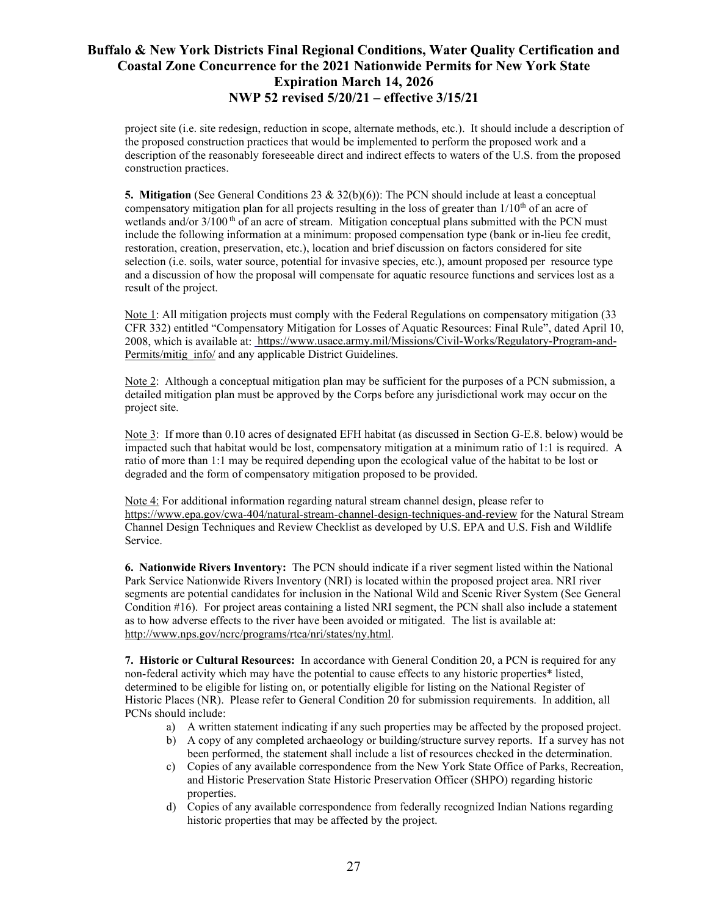project site (i.e. site redesign, reduction in scope, alternate methods, etc.). It should include a description of the proposed construction practices that would be implemented to perform the proposed work and a description of the reasonably foreseeable direct and indirect effects to waters of the U.S. from the proposed construction practices.

**5. Mitigation** (See General Conditions 23 & 32(b)(6)): The PCN should include at least a conceptual compensatory mitigation plan for all projects resulting in the loss of greater than  $1/10<sup>th</sup>$  of an acre of wetlands and/or  $3/100$ <sup>th</sup> of an acre of stream. Mitigation conceptual plans submitted with the PCN must include the following information at a minimum: proposed compensation type (bank or in-lieu fee credit, restoration, creation, preservation, etc.), location and brief discussion on factors considered for site selection (i.e. soils, water source, potential for invasive species, etc.), amount proposed per resource type and a discussion of how the proposal will compensate for aquatic resource functions and services lost as a result of the project.

Note 1: All mitigation projects must comply with the Federal Regulations on compensatory mitigation (33 CFR 332) entitled "Compensatory Mitigation for Losses of Aquatic Resources: Final Rule", dated April 10, 2008, which is available at: [https://www.usace.army.mil/Missions/Civil-Works/Regulatory-Program-and-](https://www.usace.army.mil/Missions/Civil-Works/Regulatory-Program-and-Permits/mitig_info/)[Permits/mitig\\_info/](https://www.usace.army.mil/Missions/Civil-Works/Regulatory-Program-and-Permits/mitig_info/) and any applicable District Guidelines.

Note 2: Although a conceptual mitigation plan may be sufficient for the purposes of a PCN submission, a detailed mitigation plan must be approved by the Corps before any jurisdictional work may occur on the project site.

Note 3: If more than 0.10 acres of designated EFH habitat (as discussed in Section G-E.8. below) would be impacted such that habitat would be lost, compensatory mitigation at a minimum ratio of 1:1 is required. A ratio of more than 1:1 may be required depending upon the ecological value of the habitat to be lost or degraded and the form of compensatory mitigation proposed to be provided.

Note 4: For additional information regarding natural stream channel design, please refer to <https://www.epa.gov/cwa-404/natural-stream-channel-design-techniques-and-review> for the Natural Stream Channel Design Techniques and Review Checklist as developed by U.S. EPA and U.S. Fish and Wildlife Service.

**6. Nationwide Rivers Inventory:** The PCN should indicate if a river segment listed within the National Park Service Nationwide Rivers Inventory (NRI) is located within the proposed project area. NRI river segments are potential candidates for inclusion in the National Wild and Scenic River System (See General Condition #16). For project areas containing a listed NRI segment, the PCN shall also include a statement as to how adverse effects to the river have been avoided or mitigated. The list is available at: [http://www.nps.gov/ncrc/programs/rtca/nri/states/ny.html.](http://www.nps.gov/ncrc/programs/rtca/nri/states/ny.html)

**7. Historic or Cultural Resources:** In accordance with General Condition 20, a PCN is required for any non-federal activity which may have the potential to cause effects to any historic properties\* listed, determined to be eligible for listing on, or potentially eligible for listing on the National Register of Historic Places (NR). Please refer to General Condition 20 for submission requirements. In addition, all PCNs should include:

- a) A written statement indicating if any such properties may be affected by the proposed project.
- b) A copy of any completed archaeology or building/structure survey reports. If a survey has not been performed, the statement shall include a list of resources checked in the determination.
- c) Copies of any available correspondence from the New York State Office of Parks, Recreation, and Historic Preservation State Historic Preservation Officer (SHPO) regarding historic properties.
- d) Copies of any available correspondence from federally recognized Indian Nations regarding historic properties that may be affected by the project.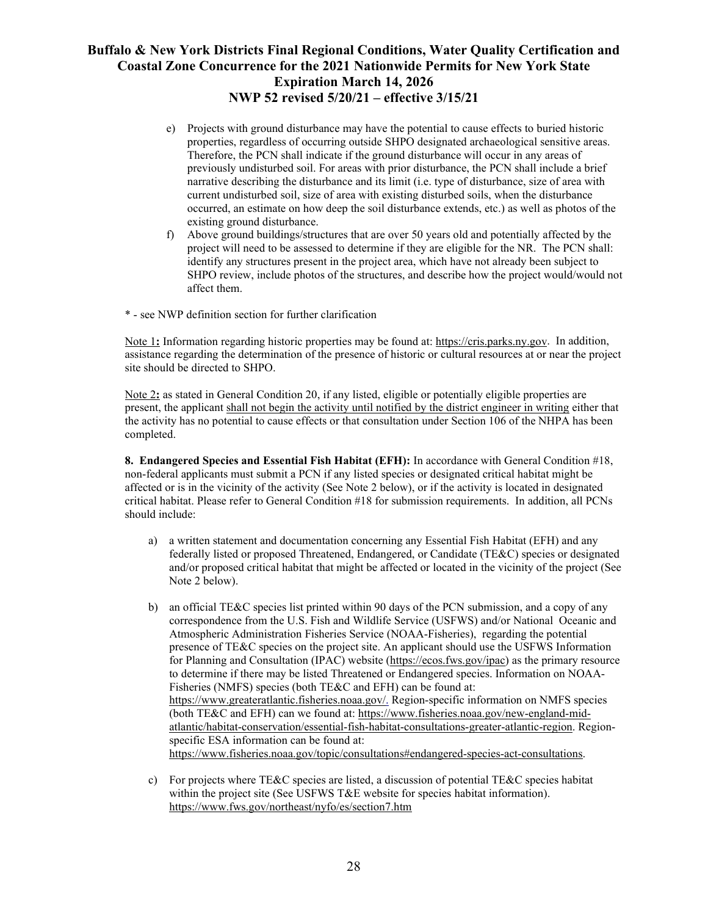- e) Projects with ground disturbance may have the potential to cause effects to buried historic properties, regardless of occurring outside SHPO designated archaeological sensitive areas. Therefore, the PCN shall indicate if the ground disturbance will occur in any areas of previously undisturbed soil. For areas with prior disturbance, the PCN shall include a brief narrative describing the disturbance and its limit (i.e. type of disturbance, size of area with current undisturbed soil, size of area with existing disturbed soils, when the disturbance occurred, an estimate on how deep the soil disturbance extends, etc.) as well as photos of the existing ground disturbance.
- f) Above ground buildings/structures that are over 50 years old and potentially affected by the project will need to be assessed to determine if they are eligible for the NR. The PCN shall: identify any structures present in the project area, which have not already been subject to SHPO review, include photos of the structures, and describe how the project would/would not affect them.
- \* see NWP definition section for further clarification

Note 1**:** Information regarding historic properties may be found at: [https://cris.parks.ny.gov.](https://cris.parks.ny.gov/) In addition, assistance regarding the determination of the presence of historic or cultural resources at or near the project site should be directed to SHPO.

Note 2**:** as stated in General Condition 20, if any listed, eligible or potentially eligible properties are present, the applicant shall not begin the activity until notified by the district engineer in writing either that the activity has no potential to cause effects or that consultation under Section 106 of the NHPA has been completed.

**8. Endangered Species and Essential Fish Habitat (EFH):** In accordance with General Condition #18, non-federal applicants must submit a PCN if any listed species or designated critical habitat might be affected or is in the vicinity of the activity (See Note 2 below), or if the activity is located in designated critical habitat. Please refer to General Condition #18 for submission requirements. In addition, all PCNs should include:

- a) a written statement and documentation concerning any Essential Fish Habitat (EFH) and any federally listed or proposed Threatened, Endangered, or Candidate (TE&C) species or designated and/or proposed critical habitat that might be affected or located in the vicinity of the project (See Note 2 below).
- b) an official TE&C species list printed within 90 days of the PCN submission, and a copy of any correspondence from the U.S. Fish and Wildlife Service (USFWS) and/or National Oceanic and Atmospheric Administration Fisheries Service (NOAA-Fisheries), regarding the potential presence of TE&C species on the project site. An applicant should use the USFWS Information for Planning and Consultation (IPAC) website (https://ecos.fws.gov/ipac) as the primary resource to determine if there may be listed Threatened or Endangered species. Information on NOAA-Fisheries (NMFS) species (both TE&C and EFH) can be found at: [https://www.greateratlantic.fisheries.noaa.gov/.](https://www.greateratlantic.fisheries.noaa.gov/) Region-specific information on NMFS species (both TE&C and EFH) can we found at: https://www.fisheries.noaa.gov/new-england-midatlantic/habitat-conservation/essential-fish-habitat-consultations-greater-atlantic-region. Regionspecific ESA information can be found at: [https://www.fisheries.noaa.gov/topic/consultations#endangered-species-act-consultations.](https://www.fisheries.noaa.gov/topic/consultations#endangered-species-act-consultations)
- c) For projects where TE&C species are listed, a discussion of potential TE&C species habitat within the project site (See USFWS T&E website for species habitat information). https://www.fws.gov/northeast/nyfo/es/section7.htm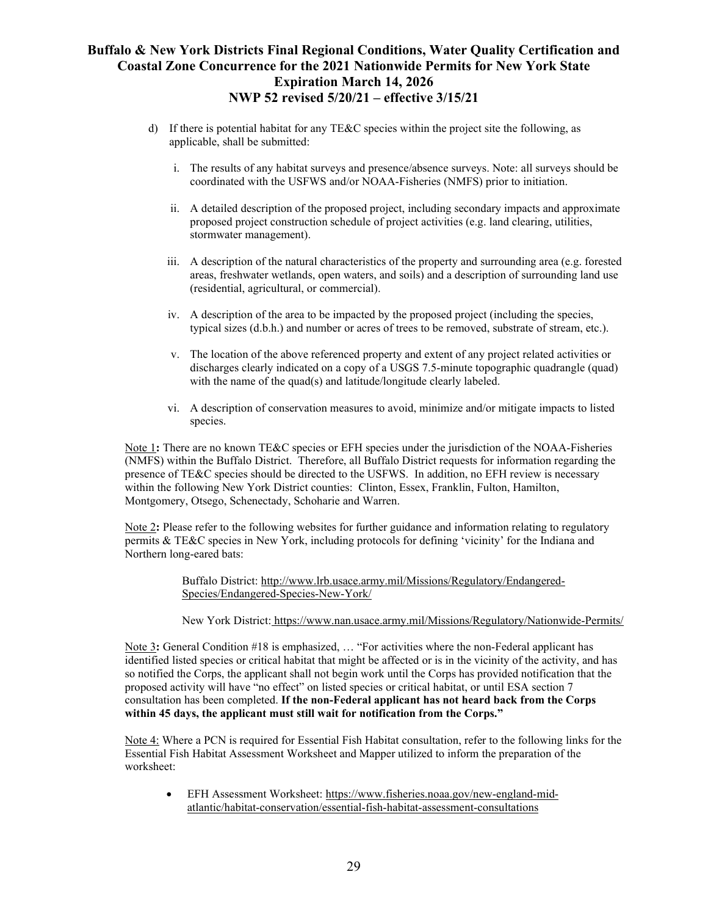- d) If there is potential habitat for any TE&C species within the project site the following, as applicable, shall be submitted:
	- i. The results of any habitat surveys and presence/absence surveys. Note: all surveys should be coordinated with the USFWS and/or NOAA-Fisheries (NMFS) prior to initiation.
	- ii. A detailed description of the proposed project, including secondary impacts and approximate proposed project construction schedule of project activities (e.g. land clearing, utilities, stormwater management).
	- iii. A description of the natural characteristics of the property and surrounding area (e.g. forested areas, freshwater wetlands, open waters, and soils) and a description of surrounding land use (residential, agricultural, or commercial).
	- iv. A description of the area to be impacted by the proposed project (including the species, typical sizes (d.b.h.) and number or acres of trees to be removed, substrate of stream, etc.).
	- v. The location of the above referenced property and extent of any project related activities or discharges clearly indicated on a copy of a USGS 7.5-minute topographic quadrangle (quad) with the name of the quad(s) and latitude/longitude clearly labeled.
	- vi. A description of conservation measures to avoid, minimize and/or mitigate impacts to listed species.

Note 1**:** There are no known TE&C species or EFH species under the jurisdiction of the NOAA-Fisheries (NMFS) within the Buffalo District. Therefore, all Buffalo District requests for information regarding the presence of TE&C species should be directed to the USFWS. In addition, no EFH review is necessary within the following New York District counties: Clinton, Essex, Franklin, Fulton, Hamilton, Montgomery, Otsego, Schenectady, Schoharie and Warren.

Note 2**:** Please refer to the following websites for further guidance and information relating to regulatory permits & TE&C species in New York, including protocols for defining 'vicinity' for the Indiana and Northern long-eared bats:

> Buffalo District: [http://www.lrb.usace.army.mil/Missions/Regulatory/Endangered-](http://www.lrb.usace.army.mil/Missions/Regulatory/Endangered-Species/Endangered-Species-New-York/)[Species/Endangered-Species-New-York/](http://www.lrb.usace.army.mil/Missions/Regulatory/Endangered-Species/Endangered-Species-New-York/)

New York District: https://www.nan.usace.army.mil/Missions/Regulatory/Nationwide-Permits/

Note 3**:** General Condition #18 is emphasized, … "For activities where the non-Federal applicant has identified listed species or critical habitat that might be affected or is in the vicinity of the activity, and has so notified the Corps, the applicant shall not begin work until the Corps has provided notification that the proposed activity will have "no effect" on listed species or critical habitat, or until ESA section 7 consultation has been completed. **If the non-Federal applicant has not heard back from the Corps within 45 days, the applicant must still wait for notification from the Corps."**

Note 4: Where a PCN is required for Essential Fish Habitat consultation, refer to the following links for the Essential Fish Habitat Assessment Worksheet and Mapper utilized to inform the preparation of the worksheet:

• EFH Assessment Worksheet[: https://www.fisheries.noaa.gov/new-england-mid](https://www.fisheries.noaa.gov/new-england-mid-atlantic/habitat-conservation/essential-fish-habitat-assessment-consultations)[atlantic/habitat-conservation/essential-fish-habitat-assessment-consultations](https://www.fisheries.noaa.gov/new-england-mid-atlantic/habitat-conservation/essential-fish-habitat-assessment-consultations)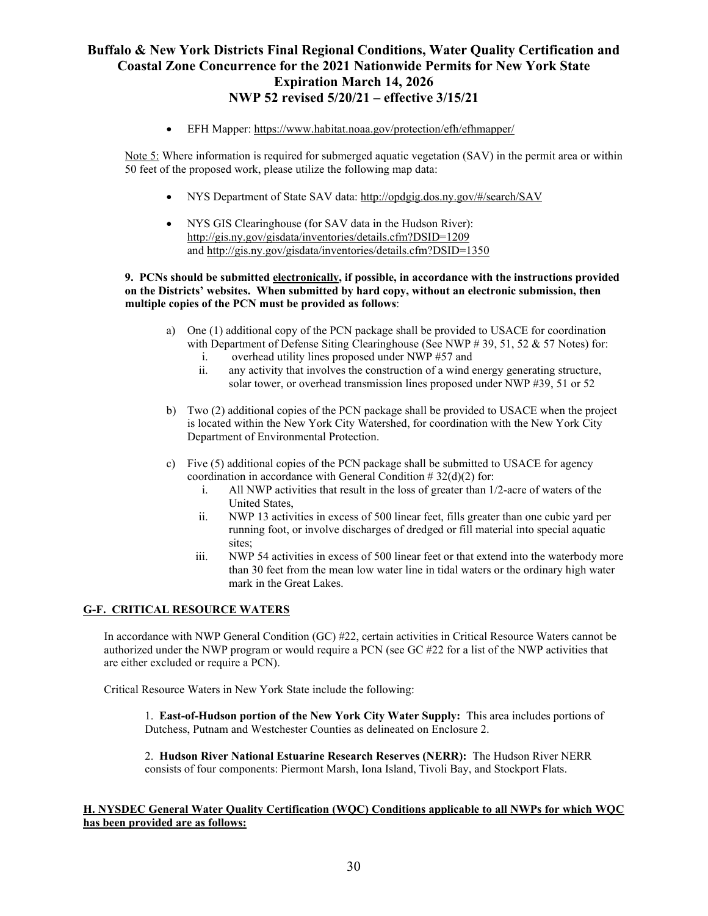• EFH Mapper:<https://www.habitat.noaa.gov/protection/efh/efhmapper/>

Note 5: Where information is required for submerged aquatic vegetation (SAV) in the permit area or within 50 feet of the proposed work, please utilize the following map data:

- NYS Department of State SAV data:<http://opdgig.dos.ny.gov/#/search/SAV>
- NYS GIS Clearinghouse (for SAV data in the Hudson River): <http://gis.ny.gov/gisdata/inventories/details.cfm?DSID=1209> and<http://gis.ny.gov/gisdata/inventories/details.cfm?DSID=1350>

#### **9. PCNs should be submitted electronically, if possible, in accordance with the instructions provided on the Districts' websites. When submitted by hard copy, without an electronic submission, then multiple copies of the PCN must be provided as follows**:

- a) One (1) additional copy of the PCN package shall be provided to USACE for coordination with Department of Defense Siting Clearinghouse (See NWP # 39, 51, 52 & 57 Notes) for:
	- i. overhead utility lines proposed under NWP #57 and<br>ii. any activity that involves the construction of a wind
	- any activity that involves the construction of a wind energy generating structure, solar tower, or overhead transmission lines proposed under NWP #39, 51 or 52
- b) Two (2) additional copies of the PCN package shall be provided to USACE when the project is located within the New York City Watershed, for coordination with the New York City Department of Environmental Protection.
- c) Five (5) additional copies of the PCN package shall be submitted to USACE for agency coordination in accordance with General Condition  $\# 32(d)(2)$  for:<br>i. All NWP activities that result in the loss of greater than 1/
	- All NWP activities that result in the loss of greater than 1/2-acre of waters of the United States,
	- ii. NWP 13 activities in excess of 500 linear feet, fills greater than one cubic yard per running foot, or involve discharges of dredged or fill material into special aquatic sites;
	- iii. NWP 54 activities in excess of 500 linear feet or that extend into the waterbody more than 30 feet from the mean low water line in tidal waters or the ordinary high water mark in the Great Lakes.

### **G-F. CRITICAL RESOURCE WATERS**

In accordance with NWP General Condition (GC) #22, certain activities in Critical Resource Waters cannot be authorized under the NWP program or would require a PCN (see GC #22 for a list of the NWP activities that are either excluded or require a PCN).

Critical Resource Waters in New York State include the following:

1. **East-of-Hudson portion of the New York City Water Supply:** This area includes portions of Dutchess, Putnam and Westchester Counties as delineated on Enclosure 2.

2. **Hudson River National Estuarine Research Reserves (NERR):** The Hudson River NERR consists of four components: Piermont Marsh, Iona Island, Tivoli Bay, and Stockport Flats.

### **H. NYSDEC General Water Quality Certification (WQC) Conditions applicable to all NWPs for which WQC has been provided are as follows:**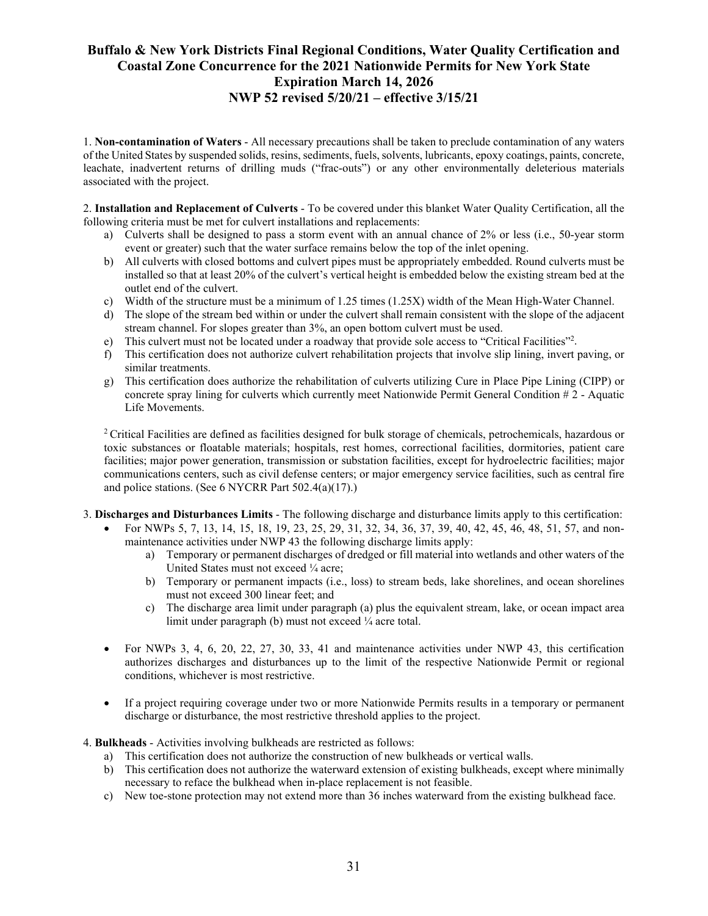1. **Non-contamination of Waters** - All necessary precautions shall be taken to preclude contamination of any waters of the United States by suspended solids, resins, sediments, fuels,solvents, lubricants, epoxy coatings, paints, concrete, leachate, inadvertent returns of drilling muds ("frac-outs") or any other environmentally deleterious materials associated with the project.

2. **Installation and Replacement of Culverts** - To be covered under this blanket Water Quality Certification, all the following criteria must be met for culvert installations and replacements:

- a) Culverts shall be designed to pass a storm event with an annual chance of 2% or less (i.e., 50-year storm event or greater) such that the water surface remains below the top of the inlet opening.
- b) All culverts with closed bottoms and culvert pipes must be appropriately embedded. Round culverts must be installed so that at least 20% of the culvert's vertical height is embedded below the existing stream bed at the outlet end of the culvert.
- c) Width of the structure must be a minimum of 1.25 times (1.25X) width of the Mean High-Water Channel.
- d) The slope of the stream bed within or under the culvert shall remain consistent with the slope of the adjacent stream channel. For slopes greater than 3%, an open bottom culvert must be used.
- e) This culvert must not be located under a roadway that provide sole access to "Critical Facilities"<sup>2</sup>.
- f) This certification does not authorize culvert rehabilitation projects that involve slip lining, invert paving, or similar treatments.
- g) This certification does authorize the rehabilitation of culverts utilizing Cure in Place Pipe Lining (CIPP) or concrete spray lining for culverts which currently meet Nationwide Permit General Condition # 2 - Aquatic Life Movements.

<sup>2</sup> Critical Facilities are defined as facilities designed for bulk storage of chemicals, petrochemicals, hazardous or toxic substances or floatable materials; hospitals, rest homes, correctional facilities, dormitories, patient care facilities; major power generation, transmission or substation facilities, except for hydroelectric facilities; major communications centers, such as civil defense centers; or major emergency service facilities, such as central fire and police stations. (See 6 NYCRR Part 502.4(a)(17).)

- 3. **Discharges and Disturbances Limits** The following discharge and disturbance limits apply to this certification:
	- For NWPs 5, 7, 13, 14, 15, 18, 19, 23, 25, 29, 31, 32, 34, 36, 37, 39, 40, 42, 45, 46, 48, 51, 57, and nonmaintenance activities under NWP 43 the following discharge limits apply:
		- a) Temporary or permanent discharges of dredged or fill material into wetlands and other waters of the United States must not exceed ¼ acre;
		- b) Temporary or permanent impacts (i.e., loss) to stream beds, lake shorelines, and ocean shorelines must not exceed 300 linear feet; and
		- c) The discharge area limit under paragraph (a) plus the equivalent stream, lake, or ocean impact area limit under paragraph (b) must not exceed 1/4 acre total.
	- For NWPs 3, 4, 6, 20, 22, 27, 30, 33, 41 and maintenance activities under NWP 43, this certification authorizes discharges and disturbances up to the limit of the respective Nationwide Permit or regional conditions, whichever is most restrictive.
	- If a project requiring coverage under two or more Nationwide Permits results in a temporary or permanent discharge or disturbance, the most restrictive threshold applies to the project.

### 4. **Bulkheads** - Activities involving bulkheads are restricted as follows:

- a) This certification does not authorize the construction of new bulkheads or vertical walls.
- b) This certification does not authorize the waterward extension of existing bulkheads, except where minimally necessary to reface the bulkhead when in-place replacement is not feasible.
- c) New toe-stone protection may not extend more than 36 inches waterward from the existing bulkhead face.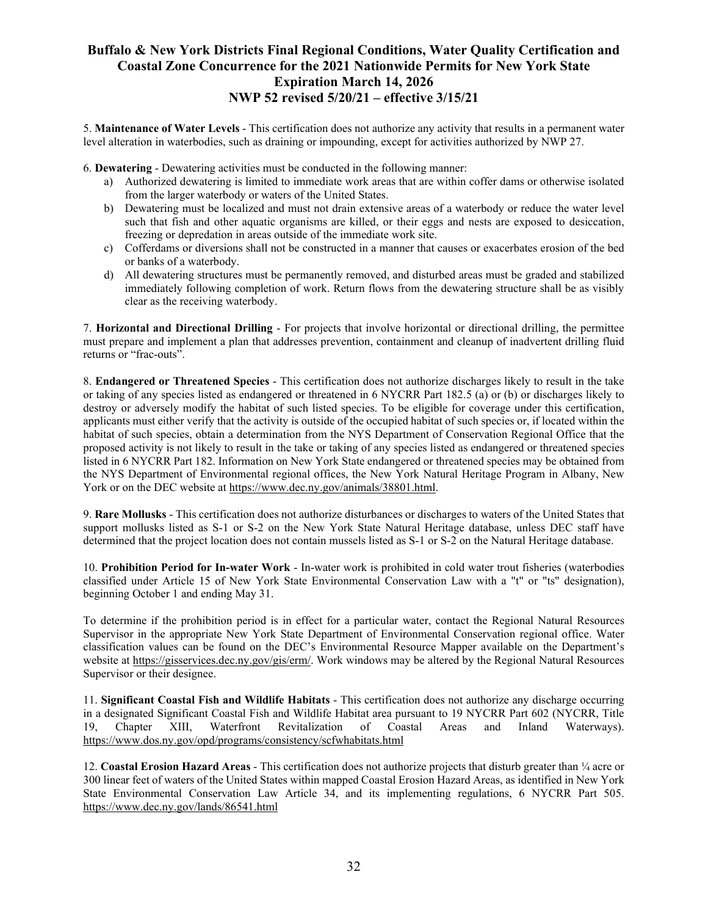5. **Maintenance of Water Levels** - This certification does not authorize any activity that results in a permanent water level alteration in waterbodies, such as draining or impounding, except for activities authorized by NWP 27.

6. **Dewatering** - Dewatering activities must be conducted in the following manner:

- a) Authorized dewatering is limited to immediate work areas that are within coffer dams or otherwise isolated from the larger waterbody or waters of the United States.
- b) Dewatering must be localized and must not drain extensive areas of a waterbody or reduce the water level such that fish and other aquatic organisms are killed, or their eggs and nests are exposed to desiccation, freezing or depredation in areas outside of the immediate work site.
- c) Cofferdams or diversions shall not be constructed in a manner that causes or exacerbates erosion of the bed or banks of a waterbody.
- d) All dewatering structures must be permanently removed, and disturbed areas must be graded and stabilized immediately following completion of work. Return flows from the dewatering structure shall be as visibly clear as the receiving waterbody.

7. **Horizontal and Directional Drilling** - For projects that involve horizontal or directional drilling, the permittee must prepare and implement a plan that addresses prevention, containment and cleanup of inadvertent drilling fluid returns or "frac-outs".

8. **Endangered or Threatened Species** - This certification does not authorize discharges likely to result in the take or taking of any species listed as endangered or threatened in 6 NYCRR Part 182.5 (a) or (b) or discharges likely to destroy or adversely modify the habitat of such listed species. To be eligible for coverage under this certification, applicants must either verify that the activity is outside of the occupied habitat of such species or, if located within the habitat of such species, obtain a determination from the NYS Department of Conservation Regional Office that the proposed activity is not likely to result in the take or taking of any species listed as endangered or threatened species listed in 6 NYCRR Part 182. Information on New York State endangered or threatened species may be obtained from the NYS Department of Environmental regional offices, the New York Natural Heritage Program in Albany, New York or on the DEC website at [https://www.dec.ny.gov/animals/38801.html.](https://www.dec.ny.gov/animals/38801.html)

9. **Rare Mollusks** - This certification does not authorize disturbances or discharges to waters of the United States that support mollusks listed as S-1 or S-2 on the New York State Natural Heritage database, unless DEC staff have determined that the project location does not contain mussels listed as S-1 or S-2 on the Natural Heritage database.

10. **Prohibition Period for In-water Work** - In-water work is prohibited in cold water trout fisheries (waterbodies classified under Article 15 of New York State Environmental Conservation Law with a "t" or "ts" designation), beginning October 1 and ending May 31.

To determine if the prohibition period is in effect for a particular water, contact the Regional Natural Resources Supervisor in the appropriate New York State Department of Environmental Conservation regional office. Water classification values can be found on the DEC's Environmental Resource Mapper available on the Department's website at https://gisservices.dec.ny.gov/gis/erm/. Work windows may be altered by the Regional Natural Resources Supervisor or their designee.

11. **Significant Coastal Fish and Wildlife Habitats** - This certification does not authorize any discharge occurring in a designated Significant Coastal Fish and Wildlife Habitat area pursuant to 19 NYCRR Part 602 (NYCRR, Title<br>19. Chapter XIII, Waterfront Revitalization of Coastal Areas and Inland Waterways). 19, Chapter XIII, Waterfront Revitalization of Coastal Areas and Inland Waterways). <https://www.dos.ny.gov/opd/programs/consistency/scfwhabitats.html>

12. **Coastal Erosion Hazard Areas** - This certification does not authorize projects that disturb greater than ¼ acre or 300 linear feet of waters of the United States within mapped Coastal Erosion Hazard Areas, as identified in New York State Environmental Conservation Law Article 34, and its implementing regulations, 6 NYCRR Part 505. <https://www.dec.ny.gov/lands/86541.html>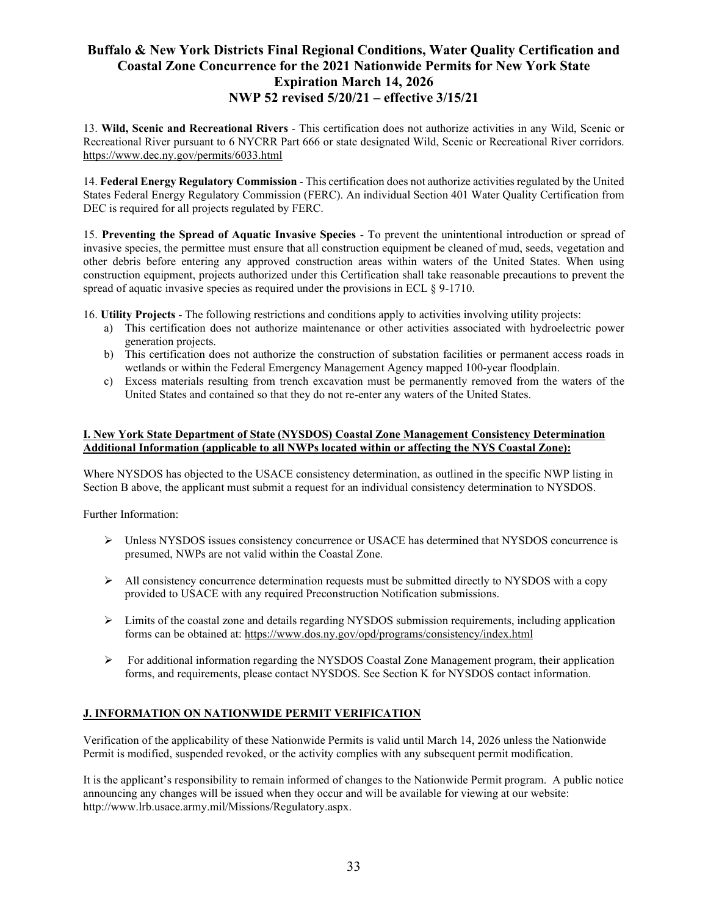13. **Wild, Scenic and Recreational Rivers** - This certification does not authorize activities in any Wild, Scenic or Recreational River pursuant to 6 NYCRR Part 666 or state designated Wild, Scenic or Recreational River corridors. <https://www.dec.ny.gov/permits/6033.html>

14. **Federal Energy Regulatory Commission** - This certification does not authorize activities regulated by the United States Federal Energy Regulatory Commission (FERC). An individual Section 401 Water Quality Certification from DEC is required for all projects regulated by FERC.

15. **Preventing the Spread of Aquatic Invasive Species** - To prevent the unintentional introduction or spread of invasive species, the permittee must ensure that all construction equipment be cleaned of mud, seeds, vegetation and other debris before entering any approved construction areas within waters of the United States. When using construction equipment, projects authorized under this Certification shall take reasonable precautions to prevent the spread of aquatic invasive species as required under the provisions in ECL § 9-1710.

16. **Utility Projects** - The following restrictions and conditions apply to activities involving utility projects:

- a) This certification does not authorize maintenance or other activities associated with hydroelectric power generation projects.
- b) This certification does not authorize the construction of substation facilities or permanent access roads in wetlands or within the Federal Emergency Management Agency mapped 100-year floodplain.
- c) Excess materials resulting from trench excavation must be permanently removed from the waters of the United States and contained so that they do not re-enter any waters of the United States.

### **I. New York State Department of State (NYSDOS) Coastal Zone Management Consistency Determination Additional Information (applicable to all NWPs located within or affecting the NYS Coastal Zone):**

Where NYSDOS has objected to the USACE consistency determination, as outlined in the specific NWP listing in Section B above, the applicant must submit a request for an individual consistency determination to NYSDOS.

Further Information:

- Unless NYSDOS issues consistency concurrence or USACE has determined that NYSDOS concurrence is presumed, NWPs are not valid within the Coastal Zone.
- $\triangleright$  All consistency concurrence determination requests must be submitted directly to NYSDOS with a copy provided to USACE with any required Preconstruction Notification submissions.
- $\triangleright$  Limits of the coastal zone and details regarding NYSDOS submission requirements, including application forms can be obtained at: <https://www.dos.ny.gov/opd/programs/consistency/index.html>
- For additional information regarding the NYSDOS Coastal Zone Management program, their application forms, and requirements, please contact NYSDOS. See Section K for NYSDOS contact information.

### **J. INFORMATION ON NATIONWIDE PERMIT VERIFICATION**

Verification of the applicability of these Nationwide Permits is valid until March 14, 2026 unless the Nationwide Permit is modified, suspended revoked, or the activity complies with any subsequent permit modification.

It is the applicant's responsibility to remain informed of changes to the Nationwide Permit program. A public notice announcing any changes will be issued when they occur and will be available for viewing at our website: http://www.lrb.usace.army.mil/Missions/Regulatory.aspx.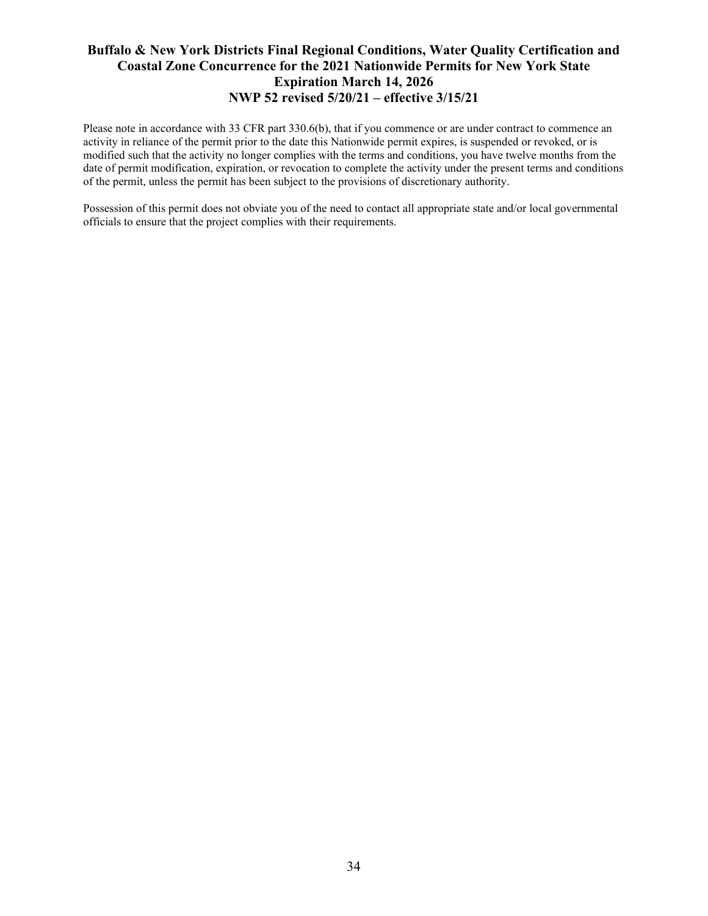Please note in accordance with 33 CFR part 330.6(b), that if you commence or are under contract to commence an activity in reliance of the permit prior to the date this Nationwide permit expires, is suspended or revoked, or is modified such that the activity no longer complies with the terms and conditions, you have twelve months from the date of permit modification, expiration, or revocation to complete the activity under the present terms and conditions of the permit, unless the permit has been subject to the provisions of discretionary authority.

Possession of this permit does not obviate you of the need to contact all appropriate state and/or local governmental officials to ensure that the project complies with their requirements.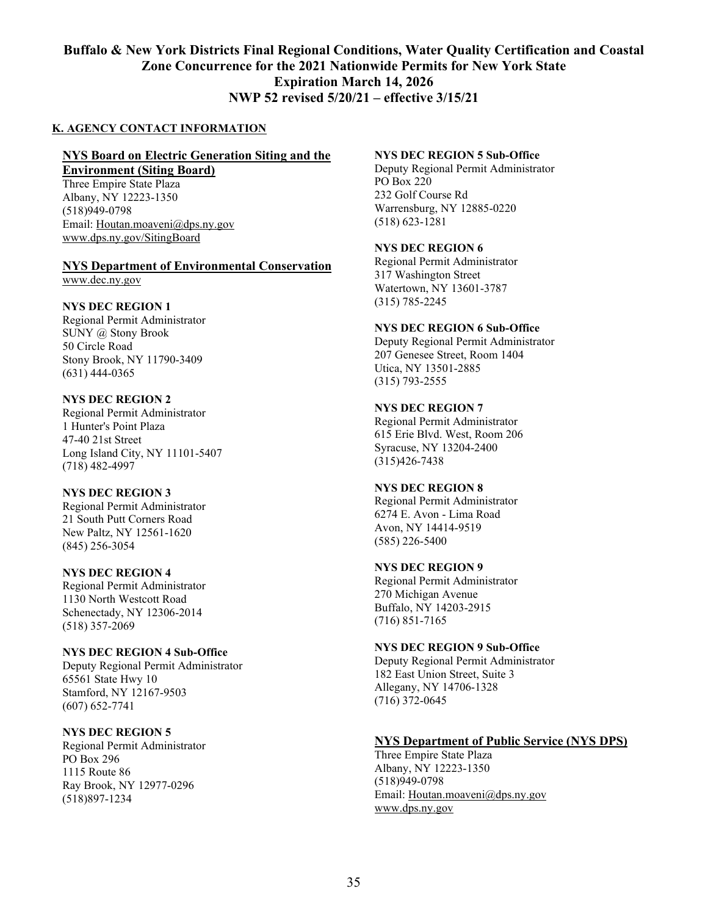### **K. AGENCY CONTACT INFORMATION**

### **NYS Board on Electric Generation Siting and the**

**Environment (Siting Board)**

Three Empire State Plaza Albany, NY 12223-1350 (518)949-0798 Email: [Houtan.moaveni@dps.ny.gov](mailto:Houtan.moaveni@dps.ny.gov) [www.dps.ny.gov/SitingBoard](http://www.dps.ny.gov/SitingBoard)

#### **NYS Department of Environmental Conservation** www.dec.ny.gov

### **NYS DEC REGION 1**

Regional Permit Administrator SUNY @ Stony Brook 50 Circle Road Stony Brook, NY 11790-3409 (631) 444-0365

### **NYS DEC REGION 2**

Regional Permit Administrator 1 Hunter's Point Plaza 47-40 21st Street Long Island City, NY 11101-5407 (718) 482-4997

### **NYS DEC REGION 3**

Regional Permit Administrator 21 South Putt Corners Road New Paltz, NY 12561-1620 (845) 256-3054

### **NYS DEC REGION 4**

Regional Permit Administrator 1130 North Westcott Road Schenectady, NY 12306-2014 (518) 357-2069

### **NYS DEC REGION 4 Sub-Office**

Deputy Regional Permit Administrator 65561 State Hwy 10 Stamford, NY 12167-9503 (607) 652-7741

### **NYS DEC REGION 5**

Regional Permit Administrator PO Box 296 1115 Route 86 Ray Brook, NY 12977-0296 (518)897-1234

#### **NYS DEC REGION 5 Sub-Office**

Deputy Regional Permit Administrator PO Box 220 232 Golf Course Rd Warrensburg, NY 12885-0220 (518) 623-1281

### **NYS DEC REGION 6**

Regional Permit Administrator 317 Washington Street Watertown, NY 13601-3787 (315) 785-2245

### **NYS DEC REGION 6 Sub-Office**

Deputy Regional Permit Administrator 207 Genesee Street, Room 1404 Utica, NY 13501-2885 (315) 793-2555

### **NYS DEC REGION 7**

Regional Permit Administrator 615 Erie Blvd. West, Room 206 Syracuse, NY 13204-2400 (315)426-7438

### **NYS DEC REGION 8**

Regional Permit Administrator 6274 E. Avon - Lima Road Avon, NY 14414-9519 (585) 226-5400

### **NYS DEC REGION 9**

Regional Permit Administrator 270 Michigan Avenue Buffalo, NY 14203-2915 (716) 851-7165

### **NYS DEC REGION 9 Sub-Office**

Deputy Regional Permit Administrator 182 East Union Street, Suite 3 Allegany, NY 14706-1328 (716) 372-0645

### **NYS Department of Public Service (NYS DPS)**

Three Empire State Plaza Albany, NY 12223-1350 (518)949-0798 Email: [Houtan.moaveni@dps.ny.gov](mailto:Houtan.moaveni@dps.ny.gov) [www.dps.ny.gov](http://www.dps.ny.gov/)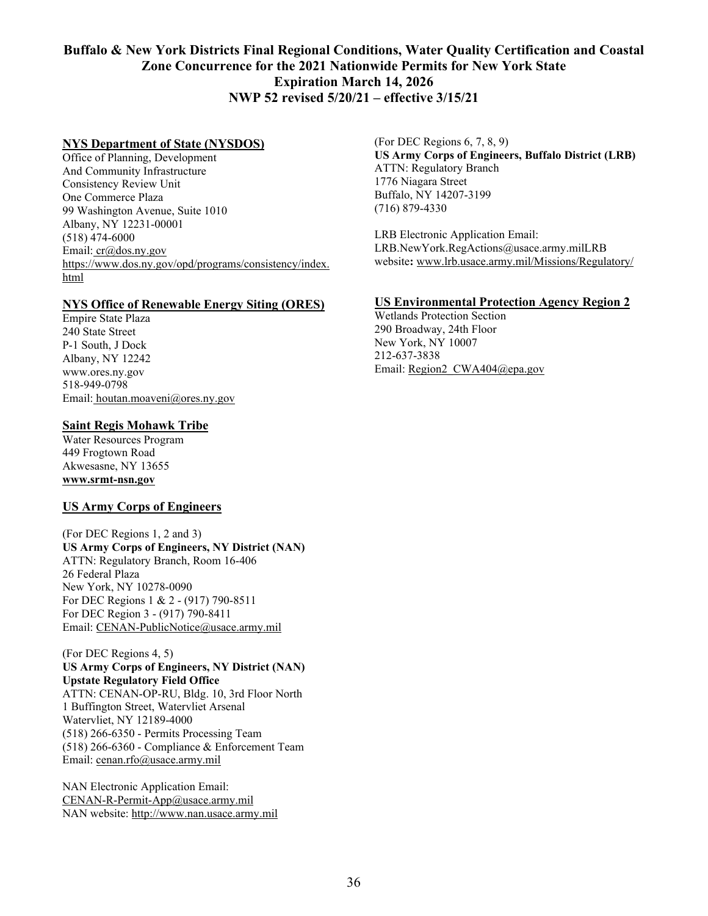### **NYS Department of State (NYSDOS)**

Office of Planning, Development And Community Infrastructure Consistency Review Unit One Commerce Plaza 99 Washington Avenue, Suite 1010 Albany, NY 12231-00001 (518) 474-6000 Email: [cr@dos.ny.gov](mailto:cr@dos.ny.gov) [https://www.dos.ny.gov/opd/programs/consistency/index.](blockedhttps://www.dos.ny.gov/opd/programs/consistency/index.html) [html](blockedhttps://www.dos.ny.gov/opd/programs/consistency/index.html)

### **NYS Office of Renewable Energy Siting (ORES)**

Empire State Plaza 240 State Street P-1 South, J Dock Albany, NY 12242 www.ores.ny.gov 518-949-0798 Email: houtan.moaveni@ores.ny.gov

### **Saint Regis Mohawk Tribe**

Water Resources Program 449 Frogtown Road Akwesasne, NY 13655 **www.srmt-nsn.gov**

### **US Army Corps of Engineers**

(For DEC Regions 1, 2 and 3) **US Army Corps of Engineers, NY District (NAN)** ATTN: Regulatory Branch, Room 16-406 26 Federal Plaza New York, NY 10278-0090 For DEC Regions 1 & 2 - (917) 790-8511 For DEC Region 3 - (917) 790-8411 Email: CENAN-PublicNotice@usace.army.mil

(For DEC Regions 4, 5) **US Army Corps of Engineers, NY District (NAN) Upstate Regulatory Field Office** ATTN: CENAN-OP-RU, Bldg. 10, 3rd Floor North 1 Buffington Street, Watervliet Arsenal Watervliet, NY 12189-4000 (518) 266-6350 - Permits Processing Team (518) 266-6360 - Compliance & Enforcement Team Email: [cenan.rfo@usace.army.mil](mailto:cenan.rfo@usace.army.mil)

NAN Electronic Application Email: [CENAN-R-Permit-App@usace.army.mil](mailto:CENAN-R-Permit-App@usace.army.mil) NAN website: [http://www.nan.usace.army.mil](http://www.nan.usace.army.mil/)

(For DEC Regions 6, 7, 8, 9) **US Army Corps of Engineers, Buffalo District (LRB)** ATTN: Regulatory Branch 1776 Niagara Street Buffalo, NY 14207-3199 (716) 879-4330

LRB Electronic Application Email: LRB.NewYork.RegActions@usace.army.milLRB website**:** [www.lrb.usace.army.mil/Missions/Regulatory/](http://www.lrb.usace.army.mil/Missions/Regulatory/)

### **US Environmental Protection Agency Region 2**

Wetlands Protection Section 290 Broadway, 24th Floor New York, NY 10007 212-637-3838 Email: [Region2\\_CWA404@epa.gov](mailto:Region2_CWA404@epa.gov)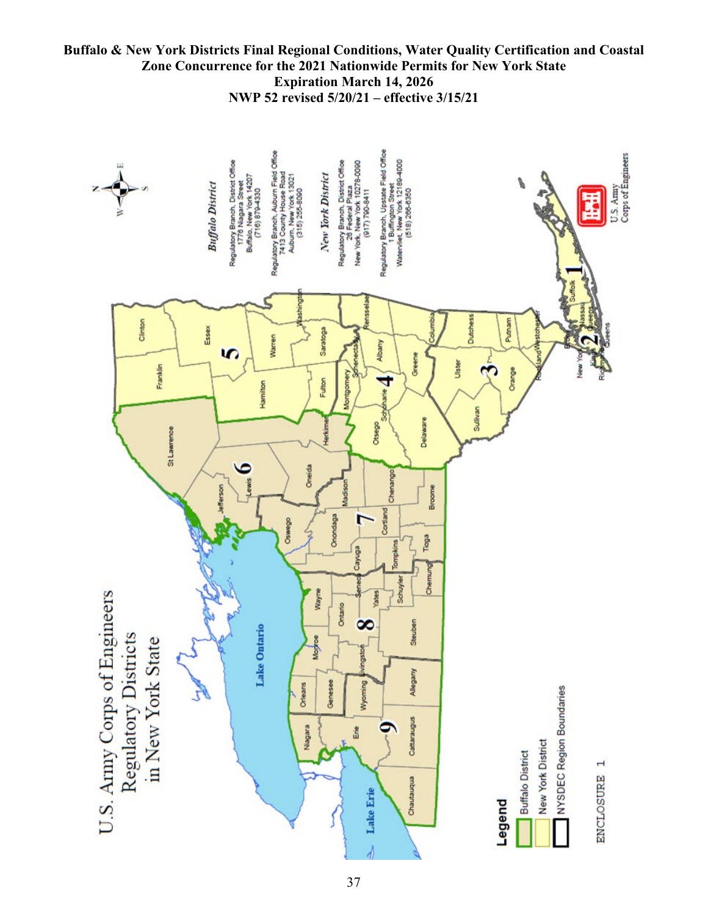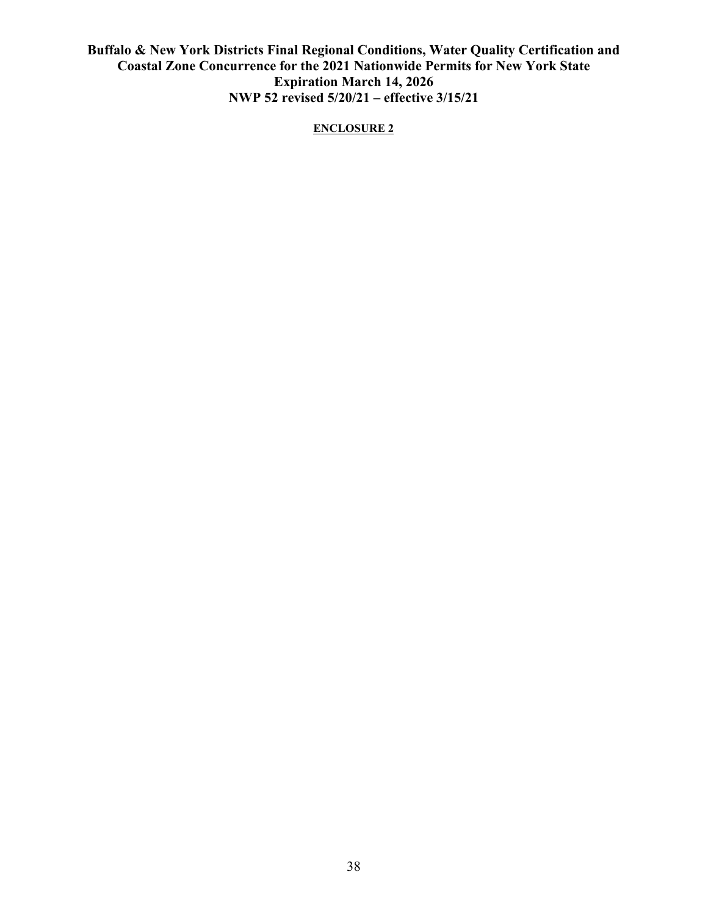### **ENCLOSURE 2**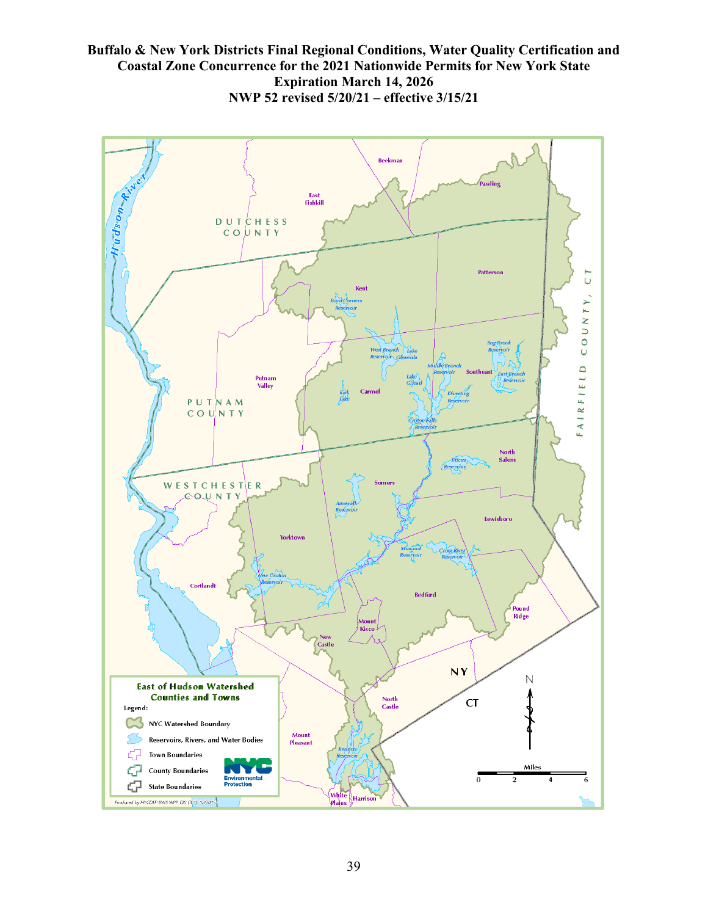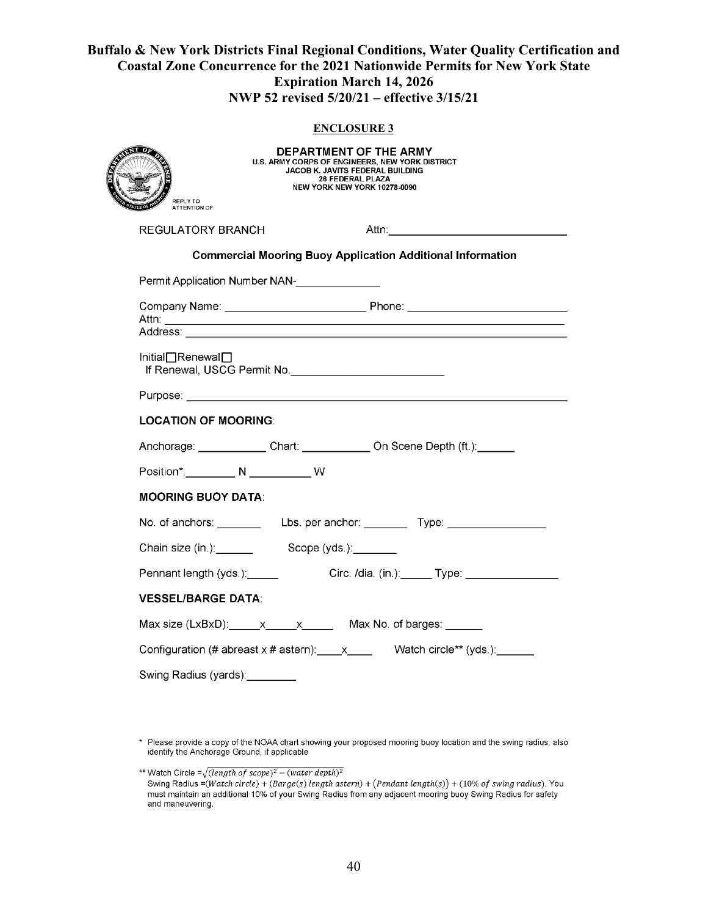### **ENCLOSURE 3**

| REPLY TO<br><b>ATTENTION OF</b>                                                  | <b>DEPARTMENT OF THE ARMY</b><br><b>U.S. ARMY CORPS OF ENGINEERS. NEW YORK DISTRICT</b><br>JACOB K. JAVITS FEDERAL BUILDING<br><b>26 FEDERAL PLAZA</b><br><b>NEW YORK NEW YORK 10278-0090</b>                                        |                                                                                  |  |  |
|----------------------------------------------------------------------------------|--------------------------------------------------------------------------------------------------------------------------------------------------------------------------------------------------------------------------------------|----------------------------------------------------------------------------------|--|--|
|                                                                                  | <b>REGULATORY BRANCH</b>                                                                                                                                                                                                             |                                                                                  |  |  |
| <b>Commercial Mooring Buoy Application Additional Information</b>                |                                                                                                                                                                                                                                      |                                                                                  |  |  |
|                                                                                  | Permit Application Number NAN-<br><u>Letter and the substitute of the substitute</u> of the substitute of the substitute of the substitute of the substitute of the substitute of the substitute of the substitute of the substitute |                                                                                  |  |  |
|                                                                                  |                                                                                                                                                                                                                                      |                                                                                  |  |  |
|                                                                                  |                                                                                                                                                                                                                                      |                                                                                  |  |  |
| Initial□Renewal□                                                                 |                                                                                                                                                                                                                                      |                                                                                  |  |  |
|                                                                                  | Purpose: New York State And the Contract of the Contract of the Contract of the Contract of the Contract of the                                                                                                                      |                                                                                  |  |  |
| <b>LOCATION OF MOORING:</b>                                                      |                                                                                                                                                                                                                                      |                                                                                  |  |  |
|                                                                                  |                                                                                                                                                                                                                                      | Anchorage: Chart: On Scene Depth (ft.):                                          |  |  |
| Position*: __________ N ____________ W                                           |                                                                                                                                                                                                                                      |                                                                                  |  |  |
| <b>MOORING BUOY DATA:</b>                                                        |                                                                                                                                                                                                                                      |                                                                                  |  |  |
|                                                                                  |                                                                                                                                                                                                                                      | No. of anchors: _______________Lbs. per anchor: ____________Type: ______________ |  |  |
|                                                                                  | Chain size (in.): Scope (yds.): Chain size (in.):                                                                                                                                                                                    |                                                                                  |  |  |
| Pennant length (yds.): ______                                                    |                                                                                                                                                                                                                                      | Circ. /dia. (in.): ______ Type: _________________                                |  |  |
| <b>VESSEL/BARGE DATA:</b>                                                        |                                                                                                                                                                                                                                      |                                                                                  |  |  |
|                                                                                  | Max size $(LxBxD)$ : $x$ $x$ $x$ Max No. of barges:                                                                                                                                                                                  |                                                                                  |  |  |
| Configuration (# abreast x # astern): $\quad x \quad \text{Water order* (yds.)}$ |                                                                                                                                                                                                                                      |                                                                                  |  |  |
| Swing Radius (yards):________                                                    |                                                                                                                                                                                                                                      |                                                                                  |  |  |

\* Please provide a copy of the NOAA chart showing your proposed mooring buoy location and the swing radius; also<br>identify the Anchorage Ground, if applicable

\*\* Watch Circle =  $\sqrt{(\text{length of scope})^2 - (\text{water depth})^2}$ 

Swing Radius = (Watch circle) + (Barge(s) length astern) + (Pendant length(s)) + (10% of swing radius). You must maintain an additional 10% of your Swing Radius from any adjacent mooring buoy Swing Radius for safety and maneuvering.